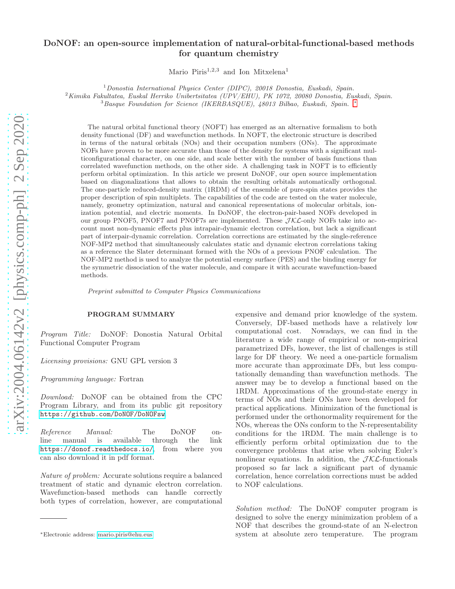# DoNOF: an open-source implementation of natural-orbital-functional-based methods for quantum chemistry

Mario Piris<sup>1,2,3</sup> and Ion Mitxelena<sup>1</sup>

<sup>1</sup>Donostia International Physics Center (DIPC), 20018 Donostia, Euskadi, Spain.

 $^2$ Kimika Fakultatea, Euskal Herriko Unibertsitatea (UPV/EHU), PK 1072, 20080 Donostia, Euskadi, Spain.

<sup>3</sup>Basque Foundation for Science (IKERBASQUE), 48013 Bilbao, Euskadi, Spain. [∗](#page-0-0)

The natural orbital functional theory (NOFT) has emerged as an alternative formalism to both density functional (DF) and wavefunction methods. In NOFT, the electronic structure is described in terms of the natural orbitals (NOs) and their occupation numbers (ONs). The approximate NOFs have proven to be more accurate than those of the density for systems with a significant multiconfigurational character, on one side, and scale better with the number of basis functions than correlated wavefunction methods, on the other side. A challenging task in NOFT is to efficiently perform orbital optimization. In this article we present DoNOF, our open source implementation based on diagonalizations that allows to obtain the resulting orbitals automatically orthogonal. The one-particle reduced-density matrix (1RDM) of the ensemble of pure-spin states provides the proper description of spin multiplets. The capabilities of the code are tested on the water molecule, namely, geometry optimization, natural and canonical representations of molecular orbitals, ionization potential, and electric moments. In DoNOF, the electron-pair-based NOFs developed in our group PNOF5, PNOF7 and PNOF7s are implemented. These  $\mathcal{JKL}$ -only NOFs take into account most non-dynamic effects plus intrapair-dynamic electron correlation, but lack a significant part of interpair-dynamic correlation. Correlation corrections are estimated by the single-reference NOF-MP2 method that simultaneously calculates static and dynamic electron correlations taking as a reference the Slater determinant formed with the NOs of a previous PNOF calculation. The NOF-MP2 method is used to analyze the potential energy surface (PES) and the binding energy for the symmetric dissociation of the water molecule, and compare it with accurate wavefunction-based methods.

Preprint submitted to Computer Physics Communications

# PROGRAM SUMMARY

Program Title: DoNOF: Donostia Natural Orbital Functional Computer Program

Licensing provisions: GNU GPL version 3

Programming language: Fortran

Download: DoNOF can be obtained from the CPC Program Library, and from its public git repository <https://github.com/DoNOF/DoNOFsw>.

Reference Manual: The DoNOF online manual is available through the link <https://donof.readthedocs.io/>, from where you can also download it in pdf format.

Nature of problem: Accurate solutions require a balanced treatment of static and dynamic electron correlation. Wavefunction-based methods can handle correctly both types of correlation, however, are computational

expensive and demand prior knowledge of the system. Conversely, DF-based methods have a relatively low computational cost. Nowadays, we can find in the literature a wide range of empirical or non-empirical parametrized DFs, however, the list of challenges is still large for DF theory. We need a one-particle formalism more accurate than approximate DFs, but less computationally demanding than wavefunction methods. The answer may be to develop a functional based on the 1RDM. Approximations of the ground-state energy in terms of NOs and their ONs have been developed for practical applications. Minimization of the functional is performed under the orthonormality requirement for the NOs, whereas the ONs conform to the N-representability conditions for the 1RDM. The main challenge is to efficiently perform orbital optimization due to the convergence problems that arise when solving Euler's nonlinear equations. In addition, the  $JKL$ -functionals proposed so far lack a significant part of dynamic correlation, hence correlation corrections must be added to NOF calculations.

Solution method: The DoNOF computer program is designed to solve the energy minimization problem of a NOF that describes the ground-state of an N-electron system at absolute zero temperature. The program

<span id="page-0-0"></span><sup>∗</sup>Electronic address: [mario.piris@ehu.eus](mailto:mario.piris@ehu.eus)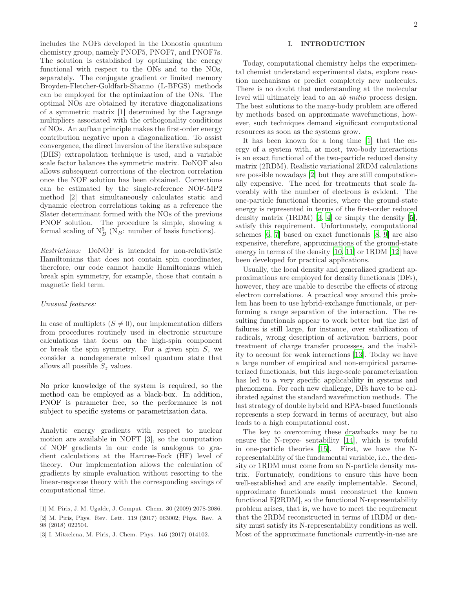includes the NOFs developed in the Donostia quantum chemistry group, namely PNOF5, PNOF7, and PNOF7s. The solution is established by optimizing the energy functional with respect to the ONs and to the NOs, separately. The conjugate gradient or limited memory Broyden-Fletcher-Goldfarb-Shanno (L-BFGS) methods can be employed for the optimization of the ONs. The optimal NOs are obtained by iterative diagonalizations of a symmetric matrix [1] determined by the Lagrange multipliers associated with the orthogonality conditions of NOs. An aufbau principle makes the first-order energy contribution negative upon a diagonalization. To assist convergence, the direct inversion of the iterative subspace (DIIS) extrapolation technique is used, and a variable scale factor balances the symmetric matrix. DoNOF also allows subsequent corrections of the electron correlation once the NOF solution has been obtained. Corrections can be estimated by the single-reference NOF-MP2 method [2] that simultaneously calculates static and dynamic electron correlations taking as a reference the Slater determinant formed with the NOs of the previous PNOF solution. The procedure is simple, showing a formal scaling of  $N_B^5$  (N<sub>B</sub>: number of basis functions).

Restrictions: DoNOF is intended for non-relativistic Hamiltonians that does not contain spin coordinates, therefore, our code cannot handle Hamiltonians which break spin symmetry, for example, those that contain a magnetic field term.

# Unusual features:

In case of multiplets  $(S \neq 0)$ , our implementation differs from procedures routinely used in electronic structure calculations that focus on the high-spin component or break the spin symmetry. For a given spin  $S$ , we consider a nondegenerate mixed quantum state that allows all possible  $S_z$  values.

No prior knowledge of the system is required, so the method can be employed as a black-box. In addition, PNOF is parameter free, so the performance is not subject to specific systems or parametrization data.

Analytic energy gradients with respect to nuclear motion are available in NOFT [3], so the computation of NOF gradients in our code is analogous to gradient calculations at the Hartree-Fock (HF) level of theory. Our implementation allows the calculation of gradients by simple evaluation without resorting to the linear-response theory with the corresponding savings of computational time.

# <span id="page-1-0"></span>I. INTRODUCTION

Today, computational chemistry helps the experimental chemist understand experimental data, explore reaction mechanisms or predict completely new molecules. There is no doubt that understanding at the molecular level will ultimately lead to an ab initio process design. The best solutions to the many-body problem are offered by methods based on approximate wavefunctions, however, such techniques demand significant computational resources as soon as the systems grow.

It has been known for a long time [\[1](#page-15-0)] that the energy of a system with, at most, two-body interactions is an exact functional of the two-particle reduced density matrix (2RDM). Realistic variational 2RDM calculations are possible nowadays [\[2\]](#page-15-1) but they are still computationally expensive. The need for treatments that scale favorably with the number of electrons is evident. The one-particle functional theories, where the ground-state energy is represented in terms of the first-order reduced density matrix (1RDM) [\[3](#page-15-2), [4\]](#page-15-3) or simply the density [\[5\]](#page-15-4), satisfy this requirement. Unfortunately, computational schemes [\[6](#page-15-5), [7\]](#page-15-6) based on exact functionals [\[8,](#page-15-7) [9\]](#page-15-8) are also expensive, therefore, approximations of the ground-state energy in terms of the density [\[10](#page-15-9), [11\]](#page-15-10) or 1RDM [\[12](#page-15-11)] have been developed for practical applications.

Usually, the local density and generalized gradient approximations are employed for density functionals (DFs), however, they are unable to describe the effects of strong electron correlations. A practical way around this problem has been to use hybrid-exchange functionals, or performing a range separation of the interaction. The resulting functionals appear to work better but the list of failures is still large, for instance, over stabilization of radicals, wrong description of activation barriers, poor treatment of charge transfer processes, and the inability to account for weak interactions [\[13\]](#page-15-12). Today we have a large number of empirical and non-empirical parameterized functionals, but this large-scale parameterization has led to a very specific applicability in systems and phenomena. For each new challenge, DFs have to be calibrated against the standard wavefunction methods. The last strategy of double hybrid and RPA-based functionals represents a step forward in terms of accuracy, but also leads to a high computational cost.

The key to overcoming these drawbacks may be to ensure the N-repre- sentability [\[14](#page-15-13)], which is twofold in one-particle theories [\[15\]](#page-15-14). First, we have the Nrepresentability of the fundamental variable, i.e., the density or 1RDM must come from an N-particle density matrix. Fortunately, conditions to ensure this have been well-established and are easily implementable. Second, approximate functionals must reconstruct the known functional E[2RDM], so the functional N-representability problem arises, that is, we have to meet the requirement that the 2RDM reconstructed in terms of 1RDM or density must satisfy its N-representability conditions as well. Most of the approximate functionals currently-in-use are

<sup>[1]</sup> M. Piris, J. M. Ugalde, J. Comput. Chem. 30 (2009) 2078-2086. [2] M. Piris, Phys. Rev. Lett. 119 (2017) 063002; Phys. Rev. A 98 (2018) 022504.

<sup>[3]</sup> I. Mitxelena, M. Piris, J. Chem. Phys. 146 (2017) 014102.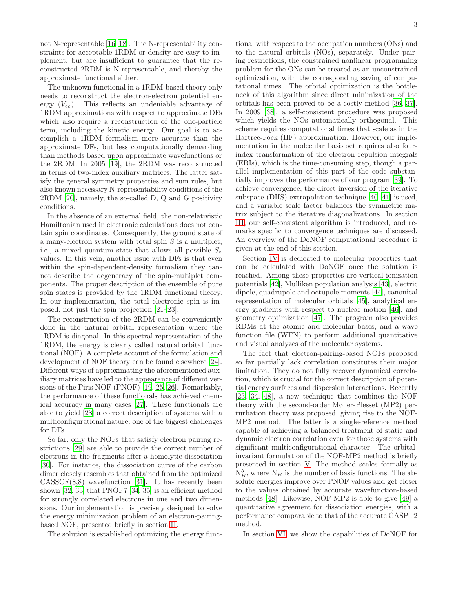not N-representable [\[16](#page-15-15)[–18\]](#page-15-16). The N-representability constraints for acceptable 1RDM or density are easy to implement, but are insufficient to guarantee that the reconstructed 2RDM is N-representable, and thereby the approximate functional either.

The unknown functional in a 1RDM-based theory only needs to reconstruct the electron-electron potential energy  $(V_{ee})$ . This reflects an undeniable advantage of 1RDM approximations with respect to approximate DFs which also require a reconstruction of the one-particle term, including the kinetic energy. Our goal is to accomplish a 1RDM formalism more accurate than the approximate DFs, but less computationally demanding than methods based upon approximate wavefunctions or the 2RDM. In 2005 [\[19\]](#page-15-17), the 2RDM was reconstructed in terms of two-index auxiliary matrices. The latter satisfy the general symmetry properties and sum rules, but also known necessary N-representability conditions of the 2RDM [\[20](#page-15-18)], namely, the so-called D, Q and G positivity conditions.

In the absence of an external field, the non-relativistic Hamiltonian used in electronic calculations does not contain spin coordinates. Consequently, the ground state of a many-electron system with total spin  $S$  is a multiplet, i.e., a mixed quantum state that allows all possible  $S_z$ values. In this vein, another issue with DFs is that even within the spin-dependent-density formalism they cannot describe the degeneracy of the spin-multiplet components. The proper description of the ensemble of pure spin states is provided by the 1RDM functional theory. In our implementation, the total electronic spin is imposed, not just the spin projection [\[21](#page-15-19)[–23\]](#page-15-20).

The reconstruction of the 2RDM can be conveniently done in the natural orbital representation where the 1RDM is diagonal. In this spectral representation of the 1RDM, the energy is clearly called natural orbital functional (NOF). A complete account of the formulation and development of NOF theory can be found elsewhere [\[24\]](#page-15-21). Different ways of approximating the aforementioned auxiliary matrices have led to the appearance of different versions of the Piris NOF (PNOF) [\[19](#page-15-17), [25,](#page-15-22) [26](#page-15-23)]. Remarkably, the performance of these functionals has achieved chemical accuracy in many cases [\[27](#page-15-24)]. These functionals are able to yield [\[28](#page-15-25)] a correct description of systems with a multiconfigurational nature, one of the biggest challenges for DFs.

So far, only the NOFs that satisfy electron pairing restrictions [\[29\]](#page-15-26) are able to provide the correct number of electrons in the fragments after a homolytic dissociation [\[30\]](#page-15-27). For instance, the dissociation curve of the carbon dimer closely resembles that obtained from the optimized  $CASSCF(8,8)$  wavefunction [\[31](#page-15-28)]. It has recently been shown [\[32](#page-15-29), [33\]](#page-15-30) that PNOF7 [\[34,](#page-16-0) [35](#page-16-1)] is an efficient method for strongly correlated electrons in one and two dimensions. Our implementation is precisely designed to solve the energy minimization problem of an electron-pairingbased NOF, presented briefly in section [II.](#page-3-0)

The solution is established optimizing the energy func-

tional with respect to the occupation numbers (ONs) and to the natural orbitals (NOs), separately. Under pairing restrictions, the constrained nonlinear programming problem for the ONs can be treated as an unconstrained optimization, with the corresponding saving of computational times. The orbital optimization is the bottleneck of this algorithm since direct minimization of the orbitals has been proved to be a costly method [\[36](#page-16-2), [37\]](#page-16-3). In 2009 [\[38\]](#page-16-4), a self-consistent procedure was proposed which yields the NOs automatically orthogonal. This scheme requires computational times that scale as in the Hartree-Fock (HF) approximation. However, our implementation in the molecular basis set requires also fourindex transformation of the electron repulsion integrals (ERIs), which is the time-consuming step, though a parallel implementation of this part of the code substantially improves the performance of our program [\[39\]](#page-16-5). To achieve convergence, the direct inversion of the iterative subspace (DIIS) extrapolation technique [\[40,](#page-16-6) [41](#page-16-7)] is used, and a variable scale factor balances the symmetric matrix subject to the iterative diagonalizations. In section [III,](#page-5-0) our self-consistent algorithm is introduced, and remarks specific to convergence techniques are discussed. An overview of the DoNOF computational procedure is given at the end of this section.

Section [IV](#page-8-0) is dedicated to molecular properties that can be calculated with DoNOF once the solution is reached. Among these properties are vertical ionization potentials [\[42](#page-16-8)], Mulliken population analysis [\[43\]](#page-16-9), electric dipole, quadrupole and octupole moments [\[44](#page-16-10)], canonical representation of molecular orbitals [\[45\]](#page-16-11), analytical energy gradients with respect to nuclear motion [\[46\]](#page-16-12), and geometry optimization [\[47](#page-16-13)]. The program also provides RDMs at the atomic and molecular bases, and a wave function file (WFN) to perform additional quantitative and visual analyzes of the molecular systems.

The fact that electron-pairing-based NOFs proposed so far partially lack correlation constitutes their major limitation. They do not fully recover dynamical correlation, which is crucial for the correct description of potential energy surfaces and dispersion interactions. Recently [\[23,](#page-15-20) [34,](#page-16-0) [48\]](#page-16-14), a new technique that combines the NOF theory with the second-order Møller-Plesset (MP2) perturbation theory was proposed, giving rise to the NOF-MP2 method. The latter is a single-reference method capable of achieving a balanced treatment of static and dynamic electron correlation even for those systems with significant multiconfigurational character. The orbitalinvariant formulation of the NOF-MP2 method is briefly presented in section [V.](#page-9-0) The method scales formally as  $N_B^5$ , where  $N_B$  is the number of basis functions. The absolute energies improve over PNOF values and get closer to the values obtained by accurate wavefunction-based methods [\[48](#page-16-14)]. Likewise, NOF-MP2 is able to give [\[49\]](#page-16-15) a quantitative agreement for dissociation energies, with a performance comparable to that of the accurate CASPT2 method.

In section [VI,](#page-10-0) we show the capabilities of DoNOF for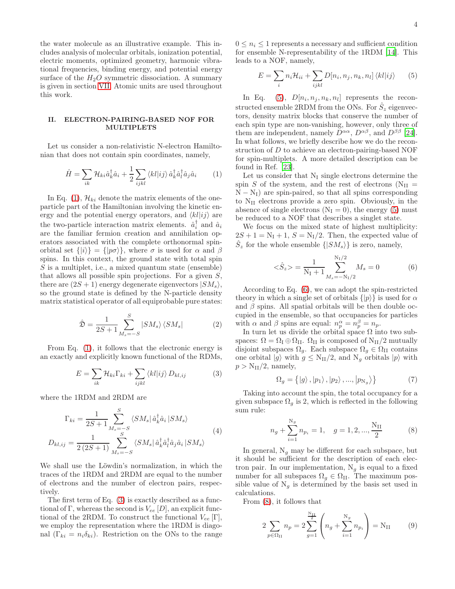the water molecule as an illustrative example. This includes analysis of molecular orbitals, ionization potential, electric moments, optimized geometry, harmonic vibrational frequencies, binding energy, and potential energy surface of the  $H_2O$  symmetric dissociation. A summary is given in section [VII.](#page-14-0) Atomic units are used throughout this work.

## <span id="page-3-0"></span>II. ELECTRON-PAIRING-BASED NOF FOR MULTIPLETS

Let us consider a non-relativistic N-electron Hamiltonian that does not contain spin coordinates, namely,

<span id="page-3-1"></span>
$$
\hat{H} = \sum_{ik} \mathcal{H}_{ki} \hat{a}_k^{\dagger} \hat{a}_i + \frac{1}{2} \sum_{ijkl} \langle kl|ij\rangle \hat{a}_k^{\dagger} \hat{a}_i^{\dagger} \hat{a}_j \hat{a}_i \qquad (1)
$$

In Eq. [\(1\)](#page-3-1),  $\mathcal{H}_{ki}$  denote the matrix elements of the oneparticle part of the Hamiltonian involving the kinetic energy and the potential energy operators, and  $\langle kl|ij\rangle$  are the two-particle interaction matrix elements.  $\hat{a}_i^{\dagger}$  and  $\hat{a}_i$ are the familiar fermion creation and annihilation operators associated with the complete orthonormal spinorbital set  $\{|i\rangle\} = \{|p\sigma\rangle\}$ , where  $\sigma$  is used for  $\alpha$  and  $\beta$ spins. In this context, the ground state with total spin S is a multiplet, i.e., a mixed quantum state (ensemble) that allows all possible spin projections. For a given  $S$ , there are  $(2S + 1)$  energy degenerate eigenvectors  $|SM_s\rangle$ , so the ground state is defined by the N-particle density matrix statistical operator of all equiprobable pure states:

$$
\hat{\mathfrak{D}} = \frac{1}{2S+1} \sum_{M_s=-S}^{S} |SM_s\rangle \langle SM_s| \tag{2}
$$

From Eq. [\(1\)](#page-3-1), it follows that the electronic energy is an exactly and explicitly known functional of the RDMs,

<span id="page-3-2"></span>
$$
E = \sum_{ik} \mathcal{H}_{ki} \Gamma_{ki} + \sum_{ijkl} \langle kl|ij\rangle D_{kl,ij} \tag{3}
$$

where the 1RDM and 2RDM are

$$
\Gamma_{ki} = \frac{1}{2S+1} \sum_{M_s=-S}^{S} \langle SM_s | \hat{a}_k^{\dagger} \hat{a}_i | SM_s \rangle
$$
\n
$$
D_{kl,ij} = \frac{1}{2(2S+1)} \sum_{M_s=-S}^{S} \langle SM_s | \hat{a}_k^{\dagger} \hat{a}_l^{\dagger} \hat{a}_j \hat{a}_i | SM_s \rangle
$$
\n(4)

We shall use the Löwdin's normalization, in which the traces of the 1RDM and 2RDM are equal to the number of electrons and the number of electron pairs, respectively.

The first term of Eq. [\(3\)](#page-3-2) is exactly described as a functional of Γ, whereas the second is  $V_{ee}[D]$ , an explicit functional of the 2RDM. To construct the functional  $V_{ee}$  [Γ], we employ the representation where the 1RDM is diagonal  $(\Gamma_{ki} = n_i \delta_{ki})$ . Restriction on the ONs to the range  $0 \leq n_i \leq 1$  represents a necessary and sufficient condition for ensemble N-representability of the 1RDM [\[14\]](#page-15-13). This leads to a NOF, namely,

<span id="page-3-3"></span>
$$
E = \sum_{i} n_i \mathcal{H}_{ii} + \sum_{ijkl} D[n_i, n_j, n_k, n_l] \langle kl | ij \rangle \qquad (5)
$$

In Eq. [\(5\)](#page-3-3),  $D[n_i, n_j, n_k, n_l]$  represents the reconstructed ensemble 2RDM from the ONs. For  $\hat{S}_z$  eigenvectors, density matrix blocks that conserve the number of each spin type are non-vanishing, however, only three of them are independent, namely  $D^{\alpha\alpha}$ ,  $D^{\alpha\beta}$ , and  $D^{\beta\beta}$  [\[24\]](#page-15-21). In what follows, we briefly describe how we do the reconstruction of D to achieve an electron-pairing-based NOF for spin-multiplets. A more detailed description can be found in Ref. [\[23](#page-15-20)].

Let us consider that  $N_I$  single electrons determine the spin S of the system, and the rest of electrons ( $N_{II}$  =  $N - N_I$ ) are spin-paired, so that all spins corresponding to  $N_{II}$  electrons provide a zero spin. Obviously, in the absence of single electrons  $(N_I = 0)$ , the energy [\(5\)](#page-3-3) must be reduced to a NOF that describes a singlet state.

We focus on the mixed state of highest multiplicity:  $2S + 1 = N_I + 1$ ,  $S = N_I/2$ . Then, the expected value of  $\hat{S}_z$  for the whole ensemble  $\{ | SM_s \rangle \}$  is zero, namely,

<span id="page-3-4"></span>
$$
\langle \hat{S}_z \rangle = \frac{1}{\mathcal{N}_I + 1} \sum_{M_s = -\mathcal{N}_I/2}^{\mathcal{N}_I/2} M_s = 0 \tag{6}
$$

According to Eq. [\(6\)](#page-3-4), we can adopt the spin-restricted theory in which a single set of orbitals  $\{|p\rangle\}$  is used for  $\alpha$ and  $\beta$  spins. All spatial orbitals will be then double occupied in the ensemble, so that occupancies for particles with  $\alpha$  and  $\beta$  spins are equal:  $n_p^{\alpha} = n_p^{\beta} = n_p$ .

In turn let us divide the orbital space  $\Omega$  into two subspaces:  $\Omega = \Omega_{\rm I} \oplus \Omega_{\rm II}$ .  $\Omega_{\rm II}$  is composed of N<sub>II</sub>/2 mutually disjoint subspaces  $\Omega_g$ . Each subspace  $\Omega_g \in \Omega_{II}$  contains one orbital  $|g\rangle$  with  $g \leq N_{II}/2$ , and  $N_g$  orbitals  $|p\rangle$  with  $p > N_{II}/2$ , namely,

$$
\Omega_g = \{ |g\rangle, |p_1\rangle, |p_2\rangle, ..., |p_{N_g}\rangle \}
$$
\n(7)

Taking into account the spin, the total occupancy for a given subspace  $\Omega_q$  is 2, which is reflected in the following sum rule:

<span id="page-3-5"></span>
$$
n_g + \sum_{i=1}^{N_g} n_{p_i} = 1, \quad g = 1, 2, ..., \frac{N_{II}}{2}
$$
 (8)

In general,  $N_q$  may be different for each subspace, but it should be sufficient for the description of each electron pair. In our implementation,  $N_g$  is equal to a fixed number for all subspaces  $\Omega_g \in \Omega_{II}$ . The maximum possible value of  $N_g$  is determined by the basis set used in calculations.

From [\(8\)](#page-3-5), it follows that

<span id="page-3-6"></span>
$$
2\sum_{p\in\Omega_{\text{II}}} n_p = 2\sum_{g=1}^{\frac{N_{\text{II}}}{2}} \left( n_g + \sum_{i=1}^{N_g} n_{p_i} \right) = N_{\text{II}} \tag{9}
$$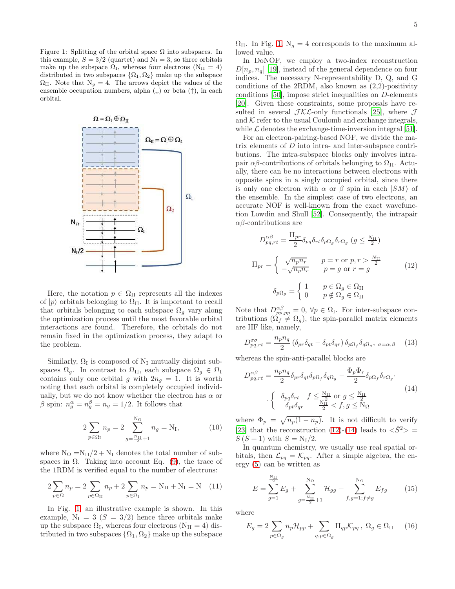<span id="page-4-0"></span>Figure 1: Splitting of the orbital space  $\Omega$  into subspaces. In this example,  $S = 3/2$  (quartet) and  $N<sub>I</sub> = 3$ , so three orbitals make up the subspace  $\Omega_{\rm I}$ , whereas four electrons (N<sub>II</sub> = 4) distributed in two subspaces  $\{\Omega_1, \Omega_2\}$  make up the subspace  $\Omega_{II}$ . Note that  $N_g = 4$ . The arrows depict the values of the ensemble occupation numbers, alpha  $(\downarrow)$  or beta  $(\uparrow)$ , in each orbital.



Here, the notation  $p \in \Omega$ <sub>II</sub> represents all the indexes of  $|p\rangle$  orbitals belonging to  $\Omega_{II}$ . It is important to recall that orbitals belonging to each subspace  $\Omega_g$  vary along the optimization process until the most favorable orbital interactions are found. Therefore, the orbitals do not remain fixed in the optimization process, they adapt to the problem.

Similarly,  $\Omega_I$  is composed of  $N_I$  mutually disjoint subspaces  $\Omega_g$ . In contrast to  $\Omega_{\text{II}}$ , each subspace  $\Omega_g \in \Omega_{\text{I}}$ contains only one orbital g with  $2n<sub>g</sub> = 1$ . It is worth noting that each orbital is completely occupied individually, but we do not know whether the electron has  $\alpha$  or β spin:  $n_g^{\alpha} = n_g^{\beta} = n_g = 1/2$ . It follows that

$$
2\sum_{p \in \Omega_{\rm I}} n_p = 2 \sum_{g = \frac{\rm N_{\rm I}}{2} + 1}^{\rm N_{\Omega}} n_g = \rm N_{\rm I},\tag{10}
$$

where  $N_{\Omega} = N_{II}/2 + N_I$  denotes the total number of subspaces in  $\Omega$ . Taking into account Eq. [\(9\)](#page-3-6), the trace of the 1RDM is verified equal to the number of electrons:

$$
2\sum_{p \in \Omega} n_p = 2\sum_{p \in \Omega_{\text{II}}} n_p + 2\sum_{p \in \Omega_{\text{I}}} n_p = N_{\text{II}} + N_{\text{I}} = N \quad (11)
$$

In Fig. [1,](#page-4-0) an illustrative example is shown. In this example,  $N_I = 3$   $(S = 3/2)$  hence three orbitals make up the subspace  $\Omega_{\text{I}}$ , whereas four electrons  $(N_{\text{II}} = 4)$  distributed in two subspaces  $\{\Omega_1, \Omega_2\}$  make up the subspace

 $\Omega_{II}$ . In Fig. [1,](#page-4-0) N<sub>g</sub> = 4 corresponds to the maximum allowed value.

In DoNOF, we employ a two-index reconstruction  $D[n_p, n_q]$  [\[19](#page-15-17)], instead of the general dependence on four indices. The necessary N-representability D, Q, and G conditions of the 2RDM, also known as (2,2)-positivity conditions [\[50\]](#page-16-16), impose strict inequalities on D-elements [\[20\]](#page-15-18). Given these constraints, some proposals have resulted in several  $\mathcal{JKL}$ -only functionals [\[25\]](#page-15-22), where  $\mathcal J$ and  $K$  refer to the usual Coulomb and exchange integrals, while  $\mathcal L$  denotes the exchange-time-inversion integral [\[51\]](#page-16-17).

For an electron-pairing-based NOF, we divide the matrix elements of D into intra- and inter-subspace contributions. The intra-subspace blocks only involves intrapair  $\alpha\beta$ -contributions of orbitals belonging to  $\Omega_{II}$ . Actually, there can be no interactions between electrons with opposite spins in a singly occupied orbital, since there is only one electron with  $\alpha$  or  $\beta$  spin in each  $|SM\rangle$  of the ensemble. In the simplest case of two electrons, an accurate NOF is well-known from the exact wavefunction Lowdin and Shull [\[52\]](#page-16-18). Consequently, the intrapair  $\alpha\beta$ -contributions are

<span id="page-4-1"></span>
$$
D_{pq,rt}^{\alpha\beta} = \frac{\Pi_{pr}}{2} \delta_{pq} \delta_{rt} \delta_{p\Omega_g} \delta_{r\Omega_g} \ (g \le \frac{N_{\text{II}}}{2})
$$

$$
\Pi_{pr} = \begin{cases} \sqrt{n_p n_r} & p = r \text{ or } p, r > \frac{N_{\text{II}}}{2} \\ -\sqrt{n_p n_r} & p = g \text{ or } r = g \end{cases} \tag{12}
$$

$$
\delta_{p\Omega_g} = \begin{cases} 1 & p \in \Omega_g \in \Omega_{\text{II}} \\ 0 & p \notin \Omega_g \in \Omega_{\text{II}} \end{cases}
$$

Note that  $D^{\alpha\beta}_{pp,pp} = 0$ ,  $\forall p \in \Omega_I$ . For inter-subspace contributions  $(\Omega_f \neq \Omega_g)$ , the spin-parallel matrix elements are HF like, namely,

$$
D_{pq,rt}^{\sigma\sigma} = \frac{n_p n_q}{2} \left( \delta_{pr} \delta_{qt} - \delta_{pt} \delta_{qr} \right) \delta_{p\Omega_f} \delta_{q\Omega_g}, \ \sigma = \alpha, \beta \tag{13}
$$

whereas the spin-anti-parallel blocks are

<span id="page-4-2"></span>
$$
D_{pq,rt}^{\alpha\beta} = \frac{n_p n_q}{2} \delta_{pr} \delta_{qt} \delta_{p\Omega_f} \delta_{q\Omega_g} - \frac{\Phi_p \Phi_r}{2} \delta_{p\Omega_f} \delta_{r\Omega_g}.
$$
  

$$
\begin{cases} \delta_{pq} \delta_{rt} & f \leq \frac{N_H}{2} \text{ or } g \leq \frac{N_H}{2} \\ \delta_{pt} \delta_{qr} & \frac{N_H}{2} < f, g \leq N_\Omega \end{cases} \tag{14}
$$

where  $\Phi_p = \sqrt{n_p(1 - n_p)}$ . It is not difficult to verify [\[23\]](#page-15-20) that the reconstruction [\(12\)](#page-4-1)-[\(14\)](#page-4-2) leads to  $\langle S^2 \rangle$  =  $S(S+1)$  with  $S = N<sub>I</sub>/2$ .

In quantum chemistry, we usually use real spatial orbitals, then  $\mathcal{L}_{pq} = \mathcal{K}_{pq}$ . After a simple algebra, the energy [\(5\)](#page-3-3) can be written as

<span id="page-4-3"></span>
$$
E = \sum_{g=1}^{\frac{N_{II}}{2}} E_g + \sum_{g=\frac{N_{II}}{2}+1}^{N_{\Omega}} \mathcal{H}_{gg} + \sum_{f,g=1;f \neq g}^{N_{\Omega}} E_{fg}
$$
(15)

where

<span id="page-4-4"></span>
$$
E_g = 2\sum_{p \in \Omega_g} n_p \mathcal{H}_{pp} + \sum_{q, p \in \Omega_g} \Pi_{qp} \mathcal{K}_{pq} , \ \Omega_g \in \Omega_{II} \tag{16}
$$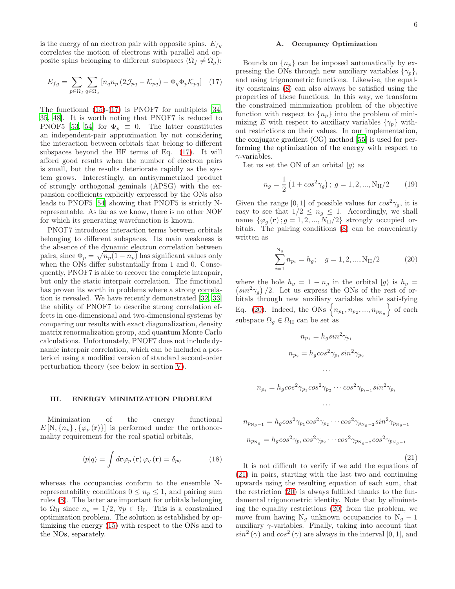is the energy of an electron pair with opposite spins.  $E_{fg}$ correlates the motion of electrons with parallel and opposite spins belonging to different subspaces  $(\Omega_f \neq \Omega_g)$ :

<span id="page-5-1"></span>
$$
E_{fg} = \sum_{p \in \Omega_f} \sum_{q \in \Omega_g} \left[ n_q n_p \left( 2 \mathcal{J}_{pq} - \mathcal{K}_{pq} \right) - \Phi_q \Phi_p \mathcal{K}_{pq} \right] \tag{17}
$$

The functional [\(15\)](#page-4-3)-[\(17\)](#page-5-1) is PNOF7 for multiplets [\[34](#page-16-0), [35,](#page-16-1) [48](#page-16-14)]. It is worth noting that PNOF7 is reduced to PNOF5 [\[53,](#page-16-19) [54\]](#page-16-20) for  $\Phi_p \equiv 0$ . The latter constitutes an independent-pair approximation by not considering the interaction between orbitals that belong to different subspaces beyond the HF terms of Eq. [\(17\)](#page-5-1). It will afford good results when the number of electron pairs is small, but the results deteriorate rapidly as the system grows. Interestingly, an antisymmetrized product of strongly orthogonal geminals (APSG) with the expansion coefficients explicitly expressed by the ONs also leads to PNOF5 [\[54](#page-16-20)] showing that PNOF5 is strictly Nrepresentable. As far as we know, there is no other NOF for which its generating wavefunction is known.

PNOF7 introduces interaction terms between orbitals belonging to different subspaces. Its main weakness is the absence of the dynamic electron correlation between pairs, since  $\Phi_p = \sqrt{n_p(1 - n_p)}$  has significant values only when the ONs differ substantially from 1 and 0. Consequently, PNOF7 is able to recover the complete intrapair, but only the static interpair correlation. The functional has proven its worth in problems where a strong correlation is revealed. We have recently demonstrated [\[32](#page-15-29), [33](#page-15-30)] the ability of PNOF7 to describe strong correlation effects in one-dimensional and two-dimensional systems by comparing our results with exact diagonalization, density matrix renormalization group, and quantum Monte Carlo calculations. Unfortunately, PNOF7 does not include dynamic interpair correlation, which can be included a posteriori using a modified version of standard second-order perturbation theory (see below in section [V\)](#page-9-0).

#### <span id="page-5-0"></span>III. ENERGY MINIMIZATION PROBLEM

Minimization of the energy functional  $E[N, \{n_p\}, \{\varphi_p(\mathbf{r})\}]$  is performed under the orthonormality requirement for the real spatial orbitals,

<span id="page-5-4"></span>
$$
\langle p|q\rangle = \int d\mathbf{r} \varphi_p(\mathbf{r}) \varphi_q(\mathbf{r}) = \delta_{pq} \tag{18}
$$

whereas the occupancies conform to the ensemble Nrepresentability conditions  $0 \leq n_p \leq 1$ , and pairing sum rules [\(8\)](#page-3-5). The latter are important for orbitals belonging to  $\Omega_{II}$  since  $n_p = 1/2, \forall p \in \Omega_I$ . This is a constrained optimization problem. The solution is established by optimizing the energy [\(15\)](#page-4-3) with respect to the ONs and to the NOs, separately.

#### A. Occupancy Optimization

Bounds on  $\{n_p\}$  can be imposed automatically by expressing the ONs through new auxiliary variables  $\{\gamma_p\},\$ and using trigonometric functions. Likewise, the equality constrains [\(8\)](#page-3-5) can also always be satisfied using the properties of these functions. In this way, we transform the constrained minimization problem of the objective function with respect to  $\{n_p\}$  into the problem of minimizing E with respect to auxiliary variables  $\{\gamma_p\}$  without restrictions on their values. In our implementation, the conjugate gradient (CG) method [\[55\]](#page-16-21) is used for performing the optimization of the energy with respect to  $\gamma$ -variables.

Let us set the ON of an orbital  $|q\rangle$  as

<span id="page-5-5"></span>
$$
n_g = \frac{1}{2} \left( 1 + \cos^2 \gamma_g \right); \ g = 1, 2, ..., N_{\text{II}}/2 \tag{19}
$$

Given the range [0, 1] of possible values for  $\cos^2\gamma_q$ , it is easy to see that  $1/2 \leq n_g \leq 1$ . Accordingly, we shall name  $\{\varphi_g(\mathbf{r})\,;\,g=1,2,...,N_{\text{II}}/2\}$  strongly occupied orbitals. The pairing conditions [\(8\)](#page-3-5) can be conveniently written as

<span id="page-5-2"></span>
$$
\sum_{i=1}^{N_g} n_{p_i} = h_g; \quad g = 1, 2, ..., N_{II}/2
$$
 (20)

where the hole  $h_g = 1 - n_g$  in the orbital  $|g\rangle$  is  $h_g =$  $\left(\sin^2\gamma_g\right)/2$ . Let us express the ONs of the rest of orbitals through new auxiliary variables while satisfying Eq. [\(20\)](#page-5-2). Indeed, the ONs  $\left\{ n_{p_1}, n_{p_2}, ..., n_{p_{N_g}} \right\}$  of each subspace  $\Omega_g \in \Omega_H$  can be set as

<span id="page-5-3"></span>
$$
n_{p_1} = h_g \sin^2 \gamma_{p_1}
$$
  
\n
$$
n_{p_2} = h_g \cos^2 \gamma_{p_1} \sin^2 \gamma_{p_2}
$$
  
\n...  
\n
$$
n_{p_i} = h_g \cos^2 \gamma_{p_1} \cos^2 \gamma_{p_2} \cdots \cos^2 \gamma_{p_{i-1}} \sin^2 \gamma_{p_i}
$$
  
\n...  
\n
$$
n_{p_{N_g-1}} = h_g \cos^2 \gamma_{p_1} \cos^2 \gamma_{p_2} \cdots \cos^2 \gamma_{p_{N_g-2}} \sin^2 \gamma_{p_{N_g-1}}
$$
  
\n
$$
n_{p_{N_g}} = h_g \cos^2 \gamma_{p_1} \cos^2 \gamma_{p_2} \cdots \cos^2 \gamma_{p_{N_g-2}} \cos^2 \gamma_{p_{N_g-1}}
$$
\n(21)

It is not difficult to verify if we add the equations of [\(21\)](#page-5-3) in pairs, starting with the last two and continuing upwards using the resulting equation of each sum, that the restriction [\(20\)](#page-5-2) is always fulfilled thanks to the fundamental trigonometric identity. Note that by eliminating the equality restrictions [\(20\)](#page-5-2) from the problem, we move from having  $N_g$  unknown occupancies to  $N_g - 1$ auxiliary  $\gamma$ -variables. Finally, taking into account that  $sin^2(\gamma)$  and  $cos^2(\gamma)$  are always in the interval [0, 1], and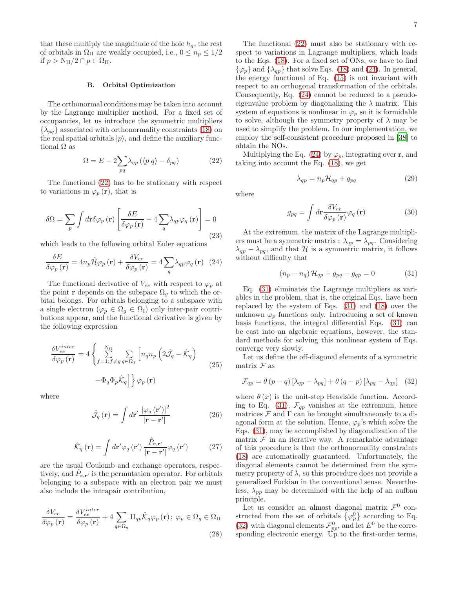that these multiply the magnitude of the hole  $h<sub>g</sub>$ , the rest of orbitals in  $\Omega_{\text{II}}$  are weakly occupied, i.e.,  $0 \leq n_p \leq 1/2$ if  $p > N_{II}/2 \cap p \in \Omega_{II}$ .

## B. Orbital Optimization

The orthonormal conditions may be taken into account by the Lagrange multiplier method. For a fixed set of occupancies, let us introduce the symmetric multipliers  $\{\lambda_{pq}\}\$ associated with orthonormality constraints [\(18\)](#page-5-4) on the real spatial orbitals  $|p\rangle$ , and define the auxiliary functional  $\Omega$  as

<span id="page-6-0"></span>
$$
\Omega = E - 2 \sum_{pq} \lambda_{qp} \left( \langle p|q \rangle - \delta_{pq} \right) \tag{22}
$$

The functional [\(22\)](#page-6-0) has to be stationary with respect to variations in  $\varphi_p(\mathbf{r})$ , that is

$$
\delta\Omega = \sum_{p} \int d\mathbf{r} \delta\varphi_{p}(\mathbf{r}) \left[ \frac{\delta E}{\delta\varphi_{p}(\mathbf{r})} - 4 \sum_{q} \lambda_{qp} \varphi_{q}(\mathbf{r}) \right] = 0
$$
\n(23)

which leads to the following orbital Euler equations

<span id="page-6-1"></span>
$$
\frac{\delta E}{\delta \varphi_p(\mathbf{r})} = 4n_p \hat{\mathcal{H}} \varphi_p(\mathbf{r}) + \frac{\delta V_{ee}}{\delta \varphi_p(\mathbf{r})} = 4 \sum_q \lambda_{qp} \varphi_q(\mathbf{r}) \tag{24}
$$

The functional derivative of  $V_{ee}$  with respect to  $\varphi_p$  at the point **r** depends on the subspace  $\Omega_q$  to which the orbital belongs. For orbitals belonging to a subspace with a single electron ( $\varphi_p \in \Omega_g \in \Omega_I$ ) only inter-pair contributions appear, and the functional derivative is given by the following expression

$$
\frac{\delta V_{ee}^{inter}}{\delta \varphi_p(\mathbf{r})} = 4 \left\{ \sum_{f=1; f \neq g}^{N_{\Omega}} \sum_{q \in \Omega_f} \left[ n_q n_p \left( 2 \hat{\mathcal{J}}_q - \hat{\mathcal{K}}_q \right) - \Phi_q \Phi_p \hat{\mathcal{K}}_q \right] \right\} \varphi_p(\mathbf{r})
$$
\n
$$
(25)
$$

where

$$
\hat{\mathcal{J}}_{q}(\mathbf{r}) = \int d\mathbf{r}' \frac{|\varphi_{q}(\mathbf{r}')|^{2}}{|\mathbf{r} - \mathbf{r}'|}
$$
 (26)

$$
\hat{\mathcal{K}}_{q}(\mathbf{r}) = \int d\mathbf{r}' \varphi_{q}(\mathbf{r}') \frac{\hat{P}_{\mathbf{r},\mathbf{r}'}}{|\mathbf{r} - \mathbf{r}'|} \varphi_{q}(\mathbf{r}') \tag{27}
$$

are the usual Coulomb and exchange operators, respectively, and  $\hat{P}_{\mathbf{r},\mathbf{r}'}$  is the permutation operator. For orbitals belonging to a subspace with an electron pair we must also include the intrapair contribution,

$$
\frac{\delta V_{ee}}{\delta \varphi_p(\mathbf{r})} = \frac{\delta V_{ee}^{inter}}{\delta \varphi_p(\mathbf{r})} + 4 \sum_{q \in \Omega_g} \Pi_{qp} \hat{\mathcal{K}}_q \varphi_p(\mathbf{r}); \ \varphi_p \in \Omega_g \in \Omega_{II}
$$
\n(28)

The functional [\(22\)](#page-6-0) must also be stationary with respect to variations in Lagrange multipliers, which leads to the Eqs. [\(18\)](#page-5-4). For a fixed set of ONs, we have to find  $\{\varphi_p\}$  and  $\{\lambda_{qp}\}$  that solve Eqs. [\(18\)](#page-5-4) and [\(24\)](#page-6-1). In general, the energy functional of Eq. [\(15\)](#page-4-3) is not invariant with respect to an orthogonal transformation of the orbitals. Consequently, Eq. [\(24\)](#page-6-1) cannot be reduced to a pseudoeigenvalue problem by diagonalizing the  $\lambda$  matrix. This system of equations is nonlinear in  $\varphi_p$  so it is formidable to solve, although the symmetry property of  $\lambda$  may be used to simplify the problem. In our implementation, we employ the self-consistent procedure proposed in [\[38\]](#page-16-4) to obtain the NOs.

Multiplying the Eq. [\(24\)](#page-6-1) by  $\varphi_p$ , integrating over **r**, and taking into account the Eq. [\(18\)](#page-5-4), we get

$$
\lambda_{qp} = n_p \mathcal{H}_{qp} + g_{pq} \tag{29}
$$

where

$$
g_{pq} = \int d\mathbf{r} \frac{\delta V_{ee}}{\delta \varphi_p(\mathbf{r})} \varphi_q(\mathbf{r}) \tag{30}
$$

At the extremum, the matrix of the Lagrange multipliers must be a symmetric matrix :  $\lambda_{qp} = \lambda_{pq}$ . Considering  $\lambda_{qp} - \lambda_{pq}$ , and that H is a symmetric matrix, it follows without difficulty that

<span id="page-6-2"></span>
$$
(n_p - n_q) \mathcal{H}_{qp} + g_{pq} - g_{qp} = 0 \tag{31}
$$

Eq. [\(31\)](#page-6-2) eliminates the Lagrange multipliers as variables in the problem, that is, the original Eqs. have been replaced by the system of Eqs. [\(31\)](#page-6-2) and [\(18\)](#page-5-4) over the unknown  $\varphi_p$  functions only. Introducing a set of known basis functions, the integral differential Eqs. [\(31\)](#page-6-2) can be cast into an algebraic equations, however, the standard methods for solving this nonlinear system of Eqs. converge very slowly.

Let us define the off-diagonal elements of a symmetric matrix  $\mathcal F$  as

<span id="page-6-3"></span>
$$
\mathcal{F}_{qp} = \theta (p - q) [\lambda_{qp} - \lambda_{pq}] + \theta (q - p) [\lambda_{pq} - \lambda_{qp}] \quad (32)
$$

where  $\theta(x)$  is the unit-step Heaviside function. Accord-ing to Eq. [\(31\)](#page-6-2),  $\mathcal{F}_{qp}$  vanishes at the extremum, hence matrices  $\mathcal F$  and  $\Gamma$  can be brought simultaneously to a diagonal form at the solution. Hence,  $\varphi_p$ 's which solve the Eqs. [\(31\)](#page-6-2), may be accomplished by diagonalization of the matrix  $\mathcal F$  in an iterative way. A remarkable advantage of this procedure is that the orthonormality constraints [\(18\)](#page-5-4) are automatically guaranteed. Unfortunately, the diagonal elements cannot be determined from the symmetry property of  $\lambda$ , so this procedure does not provide a generalized Fockian in the conventional sense. Nevertheless,  $\lambda_{pp}$  may be determined with the help of an aufbau principle.

Let us consider an almost diagonal matrix  $\mathcal{F}^0$  constructed from the set of orbitals  $\{\varphi_p^0\}$  according to Eq. [\(32\)](#page-6-3) with diagonal elements  $\mathcal{F}_{pp}^0$ , and let  $E^0$  be the corresponding electronic energy. Up to the first-order terms,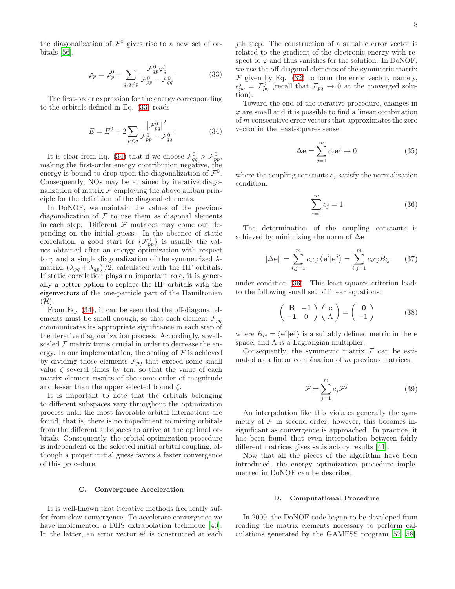the diagonalization of  $\mathcal{F}^0$  gives rise to a new set of orbitals [\[56\]](#page-16-22),

<span id="page-7-0"></span>
$$
\varphi_p = \varphi_p^0 + \sum_{q,q \neq p} \frac{\mathcal{F}_{qp}^0 \varphi_q^0}{\mathcal{F}_{pp}^0 - \mathcal{F}_{qq}^0} \tag{33}
$$

The first-order expression for the energy corresponding to the orbitals defined in Eq. [\(33\)](#page-7-0) reads

<span id="page-7-1"></span>
$$
E = E^{0} + 2\sum_{p < q} \frac{|\mathcal{F}_{pq}^{0}|^{2}}{\mathcal{F}_{pp}^{0} - \mathcal{F}_{qq}^{0}}
$$
 (34)

It is clear from Eq. [\(34\)](#page-7-1) that if we choose  $\mathcal{F}_{qq}^0 > \mathcal{F}_{pp}^0$ , making the first-order energy contribution negative, the energy is bound to drop upon the diagonalization of  $\mathcal{F}^0$ . Consequently, NOs may be attained by iterative diagonalization of matrix  $\mathcal F$  employing the above aufbau principle for the definition of the diagonal elements.

In DoNOF, we maintain the values of the previous diagonalization of  $\mathcal F$  to use them as diagonal elements in each step. Different  $F$  matrices may come out depending on the initial guess. In the absence of static correlation, a good start for  $\{\mathcal{F}_{pp}^0\}$  is usually the values obtained after an energy optimization with respect to  $\gamma$  and a single diagonalization of the symmetrized  $\lambda$ matrix,  $(\lambda_{pq} + \lambda_{qp})/2$ , calculated with the HF orbitals. If static correlation plays an important role, it is generally a better option to replace the HF orbitals with the eigenvectors of the one-particle part of the Hamiltonian  $(\mathcal{H})$ .

From Eq. [\(34\)](#page-7-1), it can be seen that the off-diagonal elements must be small enough, so that each element  $\mathcal{F}_{pq}$ communicates its appropriate significance in each step of the iterative diagonalization process. Accordingly, a wellscaled  $\mathcal F$  matrix turns crucial in order to decrease the energy. In our implementation, the scaling of  $\mathcal F$  is achieved by dividing those elements  $\mathcal{F}_{pq}$  that exceed some small value  $\zeta$  several times by ten, so that the value of each matrix element results of the same order of magnitude and lesser than the upper selected bound  $\zeta$ .

It is important to note that the orbitals belonging to different subspaces vary throughout the optimization process until the most favorable orbital interactions are found, that is, there is no impediment to mixing orbitals from the different subspaces to arrive at the optimal orbitals. Consequently, the orbital optimization procedure is independent of the selected initial orbital coupling, although a proper initial guess favors a faster convergence of this procedure.

#### C. Convergence Acceleration

It is well-known that iterative methods frequently suffer from slow convergence. To accelerate convergence we have implemented a DIIS extrapolation technique [\[40\]](#page-16-6). In the latter, an error vector  $e^j$  is constructed at each

jth step. The construction of a suitable error vector is related to the gradient of the electronic energy with respect to  $\varphi$  and thus vanishes for the solution. In DoNOF, we use the off-diagonal elements of the symmetric matrix  $\mathcal F$  given by Eq. [\(32\)](#page-6-3) to form the error vector, namely,  $e_{pq}^{j} = \mathcal{F}_{pq}^{j}$  (recall that  $\mathcal{F}_{pq} \to 0$  at the converged solution).

Toward the end of the iterative procedure, changes in  $\varphi$  are small and it is possible to find a linear combination of m consecutive error vectors that approximates the zero vector in the least-squares sense:

$$
\Delta \mathbf{e} = \sum_{j=1}^{m} c_j \mathbf{e}^j \to 0 \tag{35}
$$

where the coupling constants  $c_j$  satisfy the normalization condition.

<span id="page-7-2"></span>
$$
\sum_{j=1}^{m} c_j = 1
$$
 (36)

The determination of the coupling constants is achieved by minimizing the norm of  $\Delta$ e

$$
\|\Delta \mathbf{e}\| = \sum_{i,j=1}^{m} c_i c_j \langle \mathbf{e}^i | \mathbf{e}^j \rangle = \sum_{i,j=1}^{m} c_i c_j B_{ij} \qquad (37)
$$

under condition [\(36\)](#page-7-2). This least-squares criterion leads to the following small set of linear equations:

$$
\begin{pmatrix} \mathbf{B} & -\mathbf{1} \\ -\mathbf{1} & 0 \end{pmatrix} \begin{pmatrix} \mathbf{c} \\ \Lambda \end{pmatrix} = \begin{pmatrix} \mathbf{0} \\ -1 \end{pmatrix} \tag{38}
$$

where  $B_{ij} = \langle \mathbf{e}^i | \mathbf{e}^j \rangle$  is a suitably defined metric in the **e** space, and  $\Lambda$  is a Lagrangian multiplier.

Consequently, the symmetric matrix  $\mathcal F$  can be estimated as a linear combination of m previous matrices,

$$
\bar{\mathcal{F}} = \sum_{j=1}^{m} c_j \mathcal{F}^j
$$
 (39)

An interpolation like this violates generally the symmetry of  $\mathcal F$  in second order; however, this becomes insignificant as convergence is approached. In practice, it has been found that even interpolation between fairly different matrices gives satisfactory results [\[41](#page-16-7)].

Now that all the pieces of the algorithm have been introduced, the energy optimization procedure implemented in DoNOF can be described.

#### <span id="page-7-3"></span>D. Computational Procedure

In 2009, the DoNOF code began to be developed from reading the matrix elements necessary to perform calculations generated by the GAMESS program [\[57,](#page-16-23) [58\]](#page-16-24).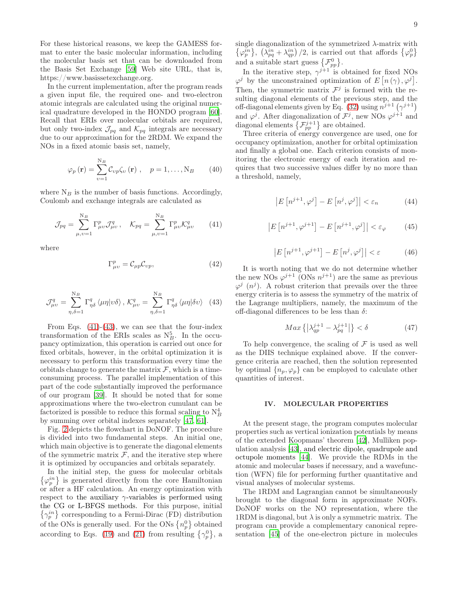For these historical reasons, we keep the GAMESS format to enter the basic molecular information, including the molecular basis set that can be downloaded from the Basis Set Exchange [\[59\]](#page-16-25) Web site URL, that is, https://www.basissetexchange.org.

In the current implementation, after the program reads a given input file, the required one- and two-electron atomic integrals are calculated using the original numerical quadrature developed in the HONDO program [\[60\]](#page-16-26). Recall that ERIs over molecular orbitals are required, but only two-index  $\mathcal{J}_{pq}$  and  $\mathcal{K}_{pq}$  integrals are necessary due to our approximation for the 2RDM. We expand the NOs in a fixed atomic basis set, namely,

$$
\varphi_p(\mathbf{r}) = \sum_{v=1}^{N_B} C_{vp} \zeta_v(\mathbf{r}), \quad p = 1, \dots, N_B \qquad (40)
$$

where  $N_B$  is the number of basis functions. Accordingly, Coulomb and exchange integrals are calculated as

<span id="page-8-1"></span>
$$
\mathcal{J}_{pq} = \sum_{\mu,\upsilon=1}^{N_B} \Gamma^p_{\mu\upsilon} \mathcal{J}^q_{\mu\upsilon}, \quad \mathcal{K}_{pq} = \sum_{\mu,\upsilon=1}^{N_B} \Gamma^p_{\mu\upsilon} \mathcal{K}^q_{\mu\upsilon} \qquad (41)
$$

where

$$
\Gamma_{\mu\nu}^p = \mathcal{C}_{\mu p} \mathcal{C}_{\nu p},\tag{42}
$$

<span id="page-8-2"></span>
$$
\mathcal{J}^q_{\mu\nu} = \sum_{\eta,\delta=1}^{N_B} \Gamma^q_{\eta\delta} \langle \mu\eta | \nu\delta \rangle, \, \mathcal{K}^q_{\mu\nu} = \sum_{\eta,\delta=1}^{N_B} \Gamma^q_{\eta\delta} \langle \mu\eta | \delta\upsilon \rangle \tag{43}
$$

From Eqs.  $(41)-(43)$  $(41)-(43)$ , we can see that the four-index transformation of the ERIs scales as  $N_B^5$ . In the occupancy optimization, this operation is carried out once for fixed orbitals, however, in the orbital optimization it is necessary to perform this transformation every time the orbitals change to generate the matrix  $\mathcal F$ , which is a timeconsuming process. The parallel implementation of this part of the code substantially improved the performance of our program [\[39\]](#page-16-5). It should be noted that for some approximations where the two-electron cumulant can be factorized is possible to reduce this formal scaling to  $N_B^4$ by summing over orbital indexes separately [\[47](#page-16-13), [61](#page-16-27)].

Fig. [2](#page-9-1) depicts the flowchart in DoNOF. The procedure is divided into two fundamental steps. An initial one, which main objective is to generate the diagonal elements of the symmetric matrix  $\mathcal F$ , and the iterative step where it is optimized by occupancies and orbitals separately.

In the initial step, the guess for molecular orbitals  $\{\varphi_p^{in}\}\$  is generated directly from the core Hamiltonian or after a HF calculation. An energy optimization with respect to the auxiliary  $\gamma$ -variables is performed using the CG or L-BFGS methods. For this purpose, initial  $\{\gamma_p^{in}\}\$ corresponding to a Fermi-Dirac (FD) distribution of the ONs is generally used. For the ONs  $\{n_p^0\}$  obtained according to Eqs. [\(19\)](#page-5-5) and [\(21\)](#page-5-3) from resulting  $\{\gamma_p^0\}$ , a

single diagonalization of the symmetrized  $\lambda$ -matrix with  $\{\varphi_p^{in}\},\ (\lambda_{pq}^{in} + \lambda_{qp}^{in})/2$ , is carried out that affords  $\{\varphi_p^0\}$ and a suitable start guess  $\{\mathcal{F}_{pp}^0\}.$ 

In the iterative step,  $\gamma^{j+1}$  is obtained for fixed NOs  $\varphi^j$  by the unconstrained optimization of  $E\left[n(\gamma),\varphi^j\right]$ . Then, the symmetric matrix  $\mathcal{F}^j$  is formed with the resulting diagonal elements of the previous step, and the off-diagonal elements given by Eq. [\(32\)](#page-6-3) using  $n^{j+1}$   $(\gamma^{j+1})$ and  $\varphi^j$ . After diagonalization of  $\mathcal{F}^j$ , new NOs  $\varphi^{j+1}$  and diagonal elements  $\left\{\mathcal{F}_{pp}^{j+1}\right\}$  are obtained.

Three criteria of energy convergence are used, one for occupancy optimization, another for orbital optimization and finally a global one. Each criterion consists of monitoring the electronic energy of each iteration and requires that two successive values differ by no more than a threshold, namely,

$$
\left| E\left[n^{j+1}, \varphi^j\right] - E\left[n^j, \varphi^j\right] \right| < \varepsilon_n \tag{44}
$$

$$
\left| E\left[n^{j+1}, \varphi^{j+1}\right] - E\left[n^{j+1}, \varphi^j\right] \right| < \varepsilon_\varphi \tag{45}
$$

$$
\left| E\left[n^{j+1}, \varphi^{j+1}\right] - E\left[n^j, \varphi^j\right] \right| < \varepsilon \tag{46}
$$

It is worth noting that we do not determine whether the new NOs  $\varphi^{j+1}$  (ONs  $n^{j+1}$ ) are the same as previous  $\varphi^j$  (*n*<sup>j</sup>). A robust criterion that prevails over the three energy criteria is to assess the symmetry of the matrix of the Lagrange multipliers, namely, the maximum of the off-diagonal differences to be less than  $\delta$ :

$$
Max\left\{ \left| \lambda_{qp}^{j+1} - \lambda_{pq}^{j+1} \right| \right\} < \delta \tag{47}
$$

To help convergence, the scaling of  $\mathcal F$  is used as well as the DIIS technique explained above. If the convergence criteria are reached, then the solution represented by optimal  ${n_p, \varphi_p}$  can be employed to calculate other quantities of interest.

### <span id="page-8-0"></span>IV. MOLECULAR PROPERTIES

At the present stage, the program computes molecular properties such as vertical ionization potentials by means of the extended Koopmans' theorem [\[42](#page-16-8)], Mulliken population analysis [\[43\]](#page-16-9), and electric dipole, quadrupole and octupole moments [\[44](#page-16-10)]. We provide the RDMs in the atomic and molecular bases if necessary, and a wavefunction (WFN) file for performing further quantitative and visual analyses of molecular systems.

The 1RDM and Lagrangian cannot be simultaneously brought to the diagonal form in approximate NOFs. DoNOF works on the NO representation, where the 1RDM is diagonal, but  $\lambda$  is only a symmetric matrix. The program can provide a complementary canonical representation [\[45\]](#page-16-11) of the one-electron picture in molecules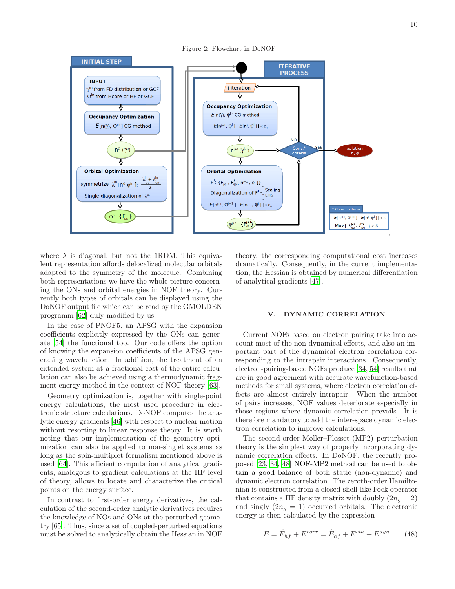<span id="page-9-1"></span>Figure 2: Flowchart in DoNOF



where  $\lambda$  is diagonal, but not the 1RDM. This equivalent representation affords delocalized molecular orbitals adapted to the symmetry of the molecule. Combining both representations we have the whole picture concerning the ONs and orbital energies in NOF theory. Currently both types of orbitals can be displayed using the DoNOF output file which can be read by the GMOLDEN programm [\[62\]](#page-16-28) duly modified by us.

In the case of PNOF5, an APSG with the expansion coefficients explicitly expressed by the ONs can generate [\[54](#page-16-20)] the functional too. Our code offers the option of knowing the expansion coefficients of the APSG generating wavefunction. In addition, the treatment of an extended system at a fractional cost of the entire calculation can also be achieved using a thermodynamic fragment energy method in the context of NOF theory [\[63\]](#page-16-29).

Geometry optimization is, together with single-point energy calculations, the most used procedure in electronic structure calculations. DoNOF computes the analytic energy gradients [\[46](#page-16-12)] with respect to nuclear motion without resorting to linear response theory. It is worth noting that our implementation of the geometry optimization can also be applied to non-singlet systems as long as the spin-multiplet formalism mentioned above is used [\[64\]](#page-16-30). This efficient computation of analytical gradients, analogous to gradient calculations at the HF level of theory, allows to locate and characterize the critical points on the energy surface.

In contrast to first-order energy derivatives, the calculation of the second-order analytic derivatives requires the knowledge of NOs and ONs at the perturbed geometry [\[65](#page-16-31)]. Thus, since a set of coupled-perturbed equations must be solved to analytically obtain the Hessian in NOF

theory, the corresponding computational cost increases dramatically. Consequently, in the current implementation, the Hessian is obtained by numerical differentiation of analytical gradients [\[47\]](#page-16-13).

### <span id="page-9-0"></span>V. DYNAMIC CORRELATION

Current NOFs based on electron pairing take into account most of the non-dynamical effects, and also an important part of the dynamical electron correlation corresponding to the intrapair interactions. Consequently, electron-pairing-based NOFs produce [\[34,](#page-16-0) [54\]](#page-16-20) results that are in good agreement with accurate wavefunction-based methods for small systems, where electron correlation effects are almost entirely intrapair. When the number of pairs increases, NOF values deteriorate especially in those regions where dynamic correlation prevails. It is therefore mandatory to add the inter-space dynamic electron correlation to improve calculations.

The second-order Møller–Plesset (MP2) perturbation theory is the simplest way of properly incorporating dynamic correlation effects. In DoNOF, the recently proposed [\[23,](#page-15-20) [34,](#page-16-0) [48\]](#page-16-14) NOF-MP2 method can be used to obtain a good balance of both static (non-dynamic) and dynamic electron correlation. The zeroth-order Hamiltonian is constructed from a closed-shell-like Fock operator that contains a HF density matrix with doubly  $(2n_q = 2)$ and singly  $(2n<sub>g</sub> = 1)$  occupied orbitals. The electronic energy is then calculated by the expression

$$
E = \tilde{E}_{hf} + E^{corr} = \tilde{E}_{hf} + E^{sta} + E^{dyn}
$$
 (48)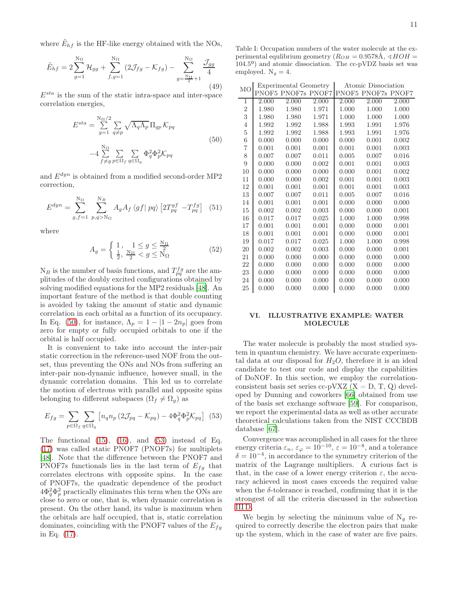where  $\tilde{E}_{hf}$  is the HF-like energy obtained with the NOs,

$$
\tilde{E}_{hf} = 2 \sum_{g=1}^{N_{\Omega}} \mathcal{H}_{gg} + \sum_{f,g=1}^{N_{\Omega}} (2\mathcal{J}_{fg} - \mathcal{K}_{fg}) - \sum_{g=\frac{N_{\Omega}}{2}+1}^{N_{\Omega}} \frac{\mathcal{J}_{gg}}{4}
$$
\n(49)

 $E^{sta}$  is the sum of the static intra-space and inter-space correlation energies,

<span id="page-10-1"></span>
$$
E^{sta} = \sum_{g=1}^{N_{II}/2} \sum_{q \neq p} \sqrt{\Lambda_q \Lambda_p} \Pi_{qp} \mathcal{K}_{pq}
$$
  

$$
-4 \sum_{f \neq g}^{N_{\Omega}} \sum_{p \in \Omega_f} \sum_{q \in \Omega_g} \Phi_q^2 \Phi_p^2 \mathcal{K}_{pq}
$$
(50)

and  $E^{dyn}$  is obtained from a modified second-order MP2 correction,

$$
E^{dyn} = \sum_{g,f=1}^{N_{\Omega}} \sum_{p,q>N_{\Omega}}^{N_{B}} A_{g} A_{f} \langle gf | pq \rangle \left[ 2T_{pq}^{gf} - T_{pq}^{fg} \right] (51)
$$

where

$$
A_g = \begin{cases} 1, & 1 \le g \le \frac{N_{II}}{2} \\ \frac{1}{2}, & \frac{N_{II}}{2} < g \le N_{\Omega} \end{cases}
$$
 (52)

 $N_B$  is the number of basis functions, and  $T_{pq}^{fg}$  are the amplitudes of the doubly excited configurations obtained by solving modified equations for the MP2 residuals [\[48\]](#page-16-14). An important feature of the method is that double counting is avoided by taking the amount of static and dynamic correlation in each orbital as a function of its occupancy. In Eq. [\(50\)](#page-10-1), for instance,  $\Lambda_p = 1 - |1 - 2n_p|$  goes from zero for empty or fully occupied orbitals to one if the orbital is half occupied.

It is convenient to take into account the inter-pair static correction in the reference-used NOF from the outset, thus preventing the ONs and NOs from suffering an inter-pair non-dynamic influence, however small, in the dynamic correlation domains. This led us to correlate the motion of electrons with parallel and opposite spins belonging to different subspaces  $(\Omega_f \neq \Omega_g)$  as

<span id="page-10-2"></span>
$$
E_{fg} = \sum_{p \in \Omega_f} \sum_{q \in \Omega_g} \left[ n_q n_p \left( 2\mathcal{J}_{pq} - \mathcal{K}_{pq} \right) - 4\Phi_q^2 \Phi_p^2 \mathcal{K}_{pq} \right] \tag{53}
$$

The functional  $(15)$ ,  $(16)$ , and  $(53)$  instead of Eq. [\(17\)](#page-5-1) was called static PNOF7 (PNOF7s) for multiplets [\[48\]](#page-16-14). Note that the difference between the PNOF7 and PNOF7s functionals lies in the last term of  $E_{fg}$  that correlates electrons with opposite spins. In the case of PNOF7s, the quadratic dependence of the product  $4\Phi_q^2\Phi_p^2$  practically eliminates this term when the ONs are close to zero or one, that is, when dynamic correlation is present. On the other hand, its value is maximum when the orbitals are half occupied, that is, static correlation dominates, coinciding with the PNOF7 values of the  $E_{fg}$ in Eq. [\(17\)](#page-5-1).

<span id="page-10-3"></span>Table I: Occupation numbers of the water molecule at the experimental equlibrium geometry ( $R_{OH} = 0.9578$ Å,  $\angle HOH =$ 104.5º) and atomic dissociation. The cc-pVDZ basis set was employed.  $N_g = 4$ .

| M <sub>O</sub> |       | Experimental Geometry |       |       | Atomic Dissociation |       |
|----------------|-------|-----------------------|-------|-------|---------------------|-------|
|                | PNOF5 | PNOF7s PNOF7          |       | PNOF5 | PNOF7s PNOF7        |       |
| 1              | 2.000 | 2.000                 | 2.000 | 2.000 | 2.000               | 2.000 |
| $\overline{2}$ | 1.980 | 1.980                 | 1.971 | 1.000 | 1.000               | 1.000 |
| 3              | 1.980 | 1.980                 | 1.971 | 1.000 | 1.000               | 1.000 |
| $\overline{4}$ | 1.992 | 1.992                 | 1.988 | 1.993 | 1.991               | 1.976 |
| $\overline{5}$ | 1.992 | 1.992                 | 1.988 | 1.993 | 1.991               | 1.976 |
| 6              | 0.000 | 0.000                 | 0.000 | 0.000 | 0.001               | 0.002 |
| $\overline{7}$ | 0.001 | 0.001                 | 0.001 | 0.001 | 0.001               | 0.003 |
| 8              | 0.007 | 0.007                 | 0.011 | 0.005 | 0.007               | 0.016 |
| 9              | 0.000 | 0.000                 | 0.002 | 0.001 | 0.001               | 0.003 |
| 10             | 0.000 | 0.000                 | 0.000 | 0.000 | 0.001               | 0.002 |
| 11             | 0.000 | 0.000                 | 0.002 | 0.001 | 0.001               | 0.003 |
| 12             | 0.001 | 0.001                 | 0.001 | 0.001 | 0.001               | 0.003 |
| 13             | 0.007 | 0.007                 | 0.011 | 0.005 | 0.007               | 0.016 |
| 14             | 0.001 | 0.001                 | 0.001 | 0.000 | 0.000               | 0.000 |
| 15             | 0.002 | 0.002                 | 0.003 | 0.000 | 0.000               | 0.001 |
| 16             | 0.017 | 0.017                 | 0.025 | 1.000 | 1.000               | 0.998 |
| 17             | 0.001 | 0.001                 | 0.001 | 0.000 | 0.000               | 0.001 |
| 18             | 0.001 | 0.001                 | 0.001 | 0.000 | 0.000               | 0.001 |
| 19             | 0.017 | 0.017                 | 0.025 | 1.000 | 1.000               | 0.998 |
| 20             | 0.002 | 0.002                 | 0.003 | 0.000 | 0.000               | 0.001 |
| 21             | 0.000 | 0.000                 | 0.000 | 0.000 | 0.000               | 0.000 |
| 22             | 0.000 | 0.000                 | 0.000 | 0.000 | 0.000               | 0.000 |
| 23             | 0.000 | 0.000                 | 0.000 | 0.000 | 0.000               | 0.000 |
| 24             | 0.000 | 0.000                 | 0.000 | 0.000 | 0.000               | 0.000 |
| 25             | 0.000 | 0.000                 | 0.000 | 0.000 | 0.000               | 0.000 |

### <span id="page-10-0"></span>VI. ILLUSTRATIVE EXAMPLE: WATER MOLECULE

The water molecule is probably the most studied system in quantum chemistry. We have accurate experimental data at our disposal for  $H_2O$ , therefore it is an ideal candidate to test our code and display the capabilities of DoNOF. In this section, we employ the correlationconsistent basis set series cc-pVXZ  $(X = D, T, Q)$  developed by Dunning and coworkers [\[66](#page-16-32)] obtained from use of the basis set exchange software [\[59](#page-16-25)]. For comparison, we report the experimental data as well as other accurate theoretical calculations taken from the NIST CCCBDB database [\[67](#page-16-33)].

Convergence was accomplished in all cases for the three energy criteria  $\varepsilon_n$ ,  $\varepsilon_{\varphi} = 10^{-10}$ ,  $\varepsilon = 10^{-8}$ , and a tolerance  $\delta = 10^{-4}$ , in accordance to the symmetry criterion of the matrix of the Lagrange multipliers. A curious fact is that, in the case of a lower energy criterion  $\varepsilon$ , the accuracy achieved in most cases exceeds the required value when the  $\delta$ -tolerance is reached, confirming that it is the strongest of all the criteria discussed in the subsection [III D.](#page-7-3)

We begin by selecting the minimum value of  $N_q$  required to correctly describe the electron pairs that make up the system, which in the case of water are five pairs.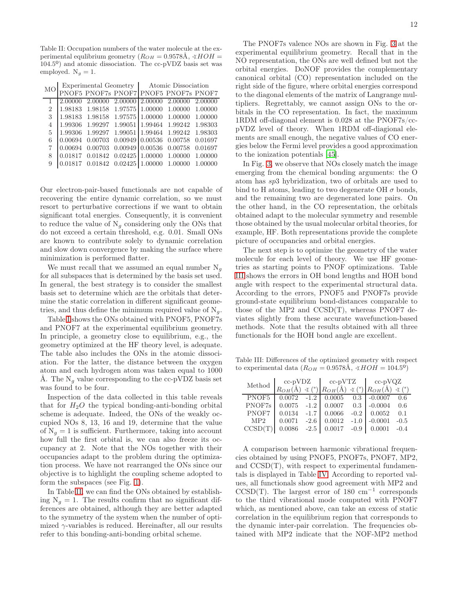<span id="page-11-0"></span>Table II: Occupation numbers of the water molecule at the experimental equlibrium geometry  $(R_{OH} = 0.9578$ Å,  $\angle HOH =$ 104.5º) and atomic dissociation. The cc-pVDZ basis set was employed.  $N_g = 1$ .

|  |  | MO Experimental Geometry Atomic Dissociation<br>DNOEZ BNOEZ BNOEZ BNOEZ BNOEZ BNOE |  |  |  |  |
|--|--|------------------------------------------------------------------------------------|--|--|--|--|
|  |  |                                                                                    |  |  |  |  |

|   | IT PNOF5 PNOF7s PNOF7 PNOF5 PNOF7s PNOF7                                            |  |  |
|---|-------------------------------------------------------------------------------------|--|--|
|   | $\boxed{1}$ 2.00000 2.00000 2.00000 2.00000 2.00000 2.00000                         |  |  |
|   | 2   1.98183 1.98158 1.97575   1.00000 1.00000 1.00000                               |  |  |
|   | 3 1.98183 1.98158 1.97575 1.00000 1.00000 1.00000                                   |  |  |
|   | 4   1.99306 1.99297 1.99051   1.99464 1.99242 1.98303                               |  |  |
|   | 5 1.99306 1.99297 1.99051 1.99464 1.99242 1.98303                                   |  |  |
| 6 |                                                                                     |  |  |
| 7 |                                                                                     |  |  |
|   | 8 0.01817 0.01842 0.02425 1.00000 1.00000 1.00000                                   |  |  |
| 9 | $\begin{array}{ l} 0.01817 & 0.01842 & 0.02425 \end{array}$ 1.00000 1.00000 1.00000 |  |  |
|   |                                                                                     |  |  |

Our electron-pair-based functionals are not capable of recovering the entire dynamic correlation, so we must resort to perturbative corrections if we want to obtain significant total energies. Consequently, it is convenient to reduce the value of  $N_g$  considering only the ONs that do not exceed a certain threshold, e.g. 0.01. Small ONs are known to contribute solely to dynamic correlation and slow down convergence by making the surface where minimization is performed flatter.

We must recall that we assumed an equal number  $N_q$ for all subspaces that is determined by the basis set used. In general, the best strategy is to consider the smallest basis set to determine which are the orbitals that determine the static correlation in different significant geometries, and thus define the minimum required value of  $N_g$ .

Table [I](#page-10-3) shows the ONs obtained with PNOF5, PNOF7s and PNOF7 at the experimental equilibrium geometry. In principle, a geometry close to equilibrium, e.g., the geometry optimized at the HF theory level, is adequate. The table also includes the ONs in the atomic dissociation. For the latter, the distance between the oxygen atom and each hydrogen atom was taken equal to 1000 Å. The  $N_g$  value corresponding to the cc-pVDZ basis set was found to be four.

Inspection of the data collected in this table reveals that for  $H_2O$  the typical bonding-anti-bonding orbital scheme is adequate. Indeed, the ONs of the weakly occupied NOs 8, 13, 16 and 19, determine that the value of  $N_q = 1$  is sufficient. Furthermore, taking into account how full the first orbital is, we can also freeze its occupancy at 2. Note that the NOs together with their occupancies adapt to the problem during the optimization process. We have not rearranged the ONs since our objective is to highlight the coupling scheme adopted to form the subspaces (see Fig. [1\)](#page-4-0).

In Table [II,](#page-11-0) we can find the ONs obtained by establishing  $N_q = 1$ . The results confirm that no significant differences are obtained, although they are better adapted to the symmetry of the system when the number of optimized  $\gamma$ -variables is reduced. Hereinafter, all our results refer to this bonding-anti-bonding orbital scheme.

The PNOF7s valence NOs are shown in Fig. [3](#page-12-0) at the experimental equilibrium geometry. Recall that in the NO representation, the ONs are well defined but not the orbital energies. DoNOF provides the complementary canonical orbital (CO) representation included on the right side of the figure, where orbital energies correspond to the diagonal elements of the matrix of Langrange multipliers. Regrettably, we cannot assign ONs to the orbitals in the CO representation. In fact, the maximum 1RDM off-diagonal element is 0.028 at the PNOF7s/ccpVDZ level of theory. When 1RDM off-diagional elements are small enough, the negative values of CO energies below the Fermi level provides a good approximation to the ionization potentials [\[45\]](#page-16-11).

In Fig. [3,](#page-12-0) we observe that NOs closely match the image emerging from the chemical bonding arguments: the O atom has sp3 hybridization, two of orbitals are used to bind to H atoms, leading to two degenerate OH  $\sigma$  bonds, and the remaining two are degenerated lone pairs. On the other hand, in the CO representation, the orbitals obtained adapt to the molecular symmetry and resemble those obtained by the usual molecular orbital theories, for example, HF. Both representations provide the complete picture of occupancies and orbital energies.

The next step is to optimize the geometry of the water molecule for each level of theory. We use HF geometries as starting points to PNOF optimizations. Table [III](#page-11-1) shows the errors in OH bond lengths and HOH bond angle with respect to the experimental structural data. According to the errors, PNOF5 and PNOF7s provide ground-state equilibrium bond-distances comparable to those of the MP2 and CCSD(T), whereas PNOF7 deviates slightly from these accurate wavefunction-based methods. Note that the results obtained with all three functionals for the HOH bond angle are excellent.

Table III: Differences of the optimized geometry with respect to experimental data ( $R_{OH} = 0.9578\text{\AA}$ ,  $\angle HOH = 104.5^{\circ}$ )

<span id="page-11-1"></span>

| Method  | $cc$ -p $VDZ$ |        | $cc$ -p $VTZ$ |        | $cc$ -p $VQZ$                                                                                      |        |
|---------|---------------|--------|---------------|--------|----------------------------------------------------------------------------------------------------|--------|
|         |               |        |               |        | $R_{OH}(\text{\AA}) \preceq$ (°) $R_{OH}(\text{\AA}) \preceq$ (°) $R_{OH}(\text{\AA}) \preceq$ (°) |        |
| PNOF5   | 0.0072        | $-1.2$ | 0.0005        | 0.3    | $-0.0007$                                                                                          | 0.6    |
| PNOF7s  | 0.0075        | $-1.2$ | 0.0007        | 0.3    | $-0.0004$                                                                                          | 0.6    |
| PNOF7   | 0.0134        | $-1.7$ | 0.0066        | $-0.2$ | 0.0052                                                                                             | 0.1    |
| MP2     | 0.0071        | $-2.6$ | 0.0012        | $-1.0$ | $-0.0001$                                                                                          | $-0.5$ |
| CCSD(T) | 0.0086        | $-2.5$ | 0.0017        | $-0.9$ |                                                                                                    | $-0.4$ |

A comparison between harmonic vibrational frequencies obtained by using PNOF5, PNOF7s, PNOF7, MP2, and CCSD(T), with respect to experimental fundamentals is displayed in Table [IV.](#page-12-1) According to reported values, all functionals show good agreement with MP2 and  $CCSD(T)$ . The largest error of 180 cm<sup>-1</sup> corresponds to the third vibrational mode computed with PNOF7 which, as mentioned above, can take an excess of static correlation in the equilibrium region that corresponds to the dynamic inter-pair correlation. The frequencies obtained with MP2 indicate that the NOF-MP2 method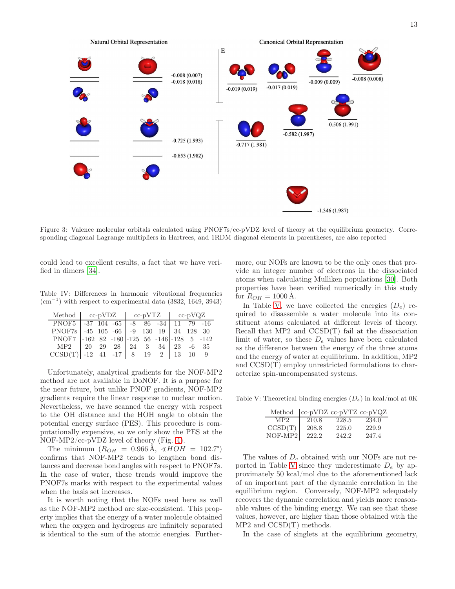

<span id="page-12-0"></span>Figure 3: Valence molecular orbitals calculated using PNOF7s/cc-pVDZ level of theory at the equilibrium geometry. Corresponding diagonal Lagrange multipliers in Hartrees, and 1RDM diagonal elements in parentheses, are also reported

could lead to excellent results, a fact that we have verified in dimers [\[34](#page-16-0)].

Table IV: Differences in harmonic vibrational frequencies  $\text{(cm}^{-1})$  with respect to experimental data (3832, 1649, 3943)

<span id="page-12-1"></span>

| Method $cc-pVDZ$ $cc-pVTZ$ $cc-pVQZ$                                                                                                                          |  |  |  |  |  |
|---------------------------------------------------------------------------------------------------------------------------------------------------------------|--|--|--|--|--|
| PNOF5 -37 104 -65 -8 86 -34 11 79 -16                                                                                                                         |  |  |  |  |  |
| PNOF7s -45 105 -66 -9 130 19 34 128 30                                                                                                                        |  |  |  |  |  |
| PNOF7 -162 82 -180 -125 56 -146 -128 5 -142                                                                                                                   |  |  |  |  |  |
|                                                                                                                                                               |  |  |  |  |  |
| $\begin{array}{c cccccc} \text{MP2} & 20 & 29 & 28 & 24 & 3 & 34 & 23 & -6 & 35 \\ \text{CCSD(T)} & -12 & 41 & -17 & 8 & 19 & 2 & 13 & 10 & 9 \\ \end{array}$ |  |  |  |  |  |

Unfortunately, analytical gradients for the NOF-MP2 method are not available in DoNOF. It is a purpose for the near future, but unlike PNOF gradients, NOF-MP2 gradients require the linear response to nuclear motion. Nevertheless, we have scanned the energy with respect to the OH distance and the HOH angle to obtain the potential energy surface (PES). This procedure is computationally expensive, so we only show the PES at the NOF-MP2/cc-pVDZ level of theory (Fig. [4\)](#page-13-0).

The minimum  $(R_{OH} = 0.966 \text{ Å}, \angle HOH = 102.7^{\circ})$ confirms that NOF-MP2 tends to lengthen bond distances and decrease bond angles with respect to PNOF7s. In the case of water, these trends would improve the PNOF7s marks with respect to the experimental values when the basis set increases.

It is worth noting that the NOFs used here as well as the NOF-MP2 method are size-consistent. This property implies that the energy of a water molecule obtained when the oxygen and hydrogens are infinitely separated is identical to the sum of the atomic energies. Further-

more, our NOFs are known to be the only ones that provide an integer number of electrons in the dissociated atoms when calculating Mulliken populations [\[30\]](#page-15-27). Both properties have been verified numerically in this study for  $R_{OH} = 1000 \text{ A}.$ 

In Table [V,](#page-12-2) we have collected the energies  $(D_e)$  required to disassemble a water molecule into its constituent atoms calculated at different levels of theory. Recall that MP2 and CCSD(T) fail at the dissociation limit of water, so these  $D_e$  values have been calculated as the difference between the energy of the three atoms and the energy of water at equilibrium. In addition, MP2 and CCSD(T) employ unrestricted formulations to characterize spin-uncompensated systems.

Table V: Theoretical binding energies  $(D_e)$  in kcal/mol at 0K

<span id="page-12-2"></span>

| Method          | cc-pVDZ cc-pVTZ cc-pVQZ |       |       |
|-----------------|-------------------------|-------|-------|
| MP <sub>2</sub> | 210.8                   | 228.5 | 234.0 |
| CCSD(T)         | 208.8                   | 225.0 | 229.9 |
| $NOF-MP2$       | 222.2                   | 242.2 | 247.4 |

The values of  $D_e$  obtained with our NOFs are not re-ported in Table [V](#page-12-2) since they underestimate  $D_e$  by approximately 50 kcal/mol due to the aforementioned lack of an important part of the dynamic correlation in the equilibrium region. Conversely, NOF-MP2 adequately recovers the dynamic correlation and yields more reasonable values of the binding energy. We can see that these values, however, are higher than those obtained with the MP2 and CCSD(T) methods.

In the case of singlets at the equilibrium geometry,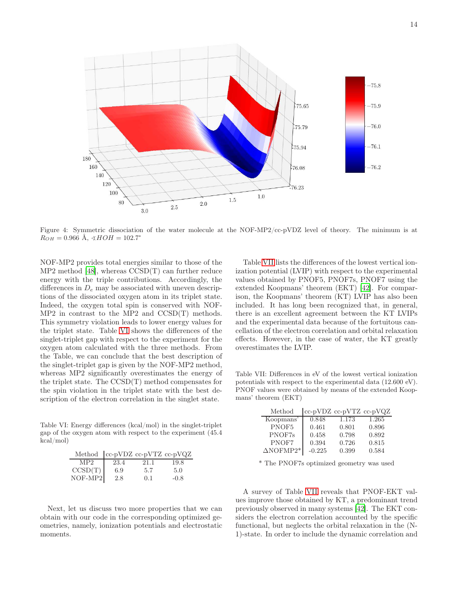

<span id="page-13-0"></span>Figure 4: Symmetric dissociation of the water molecule at the NOF-MP2/cc-pVDZ level of theory. The minimum is at  $R_{OH} = 0.966$  Å,  $\angle HOH = 102.7^{\circ}$ 

NOF-MP2 provides total energies similar to those of the MP2 method [\[48](#page-16-14)], whereas CCSD(T) can further reduce energy with the triple contributions. Accordingly, the differences in  $D_e$  may be associated with uneven descriptions of the dissociated oxygen atom in its triplet state. Indeed, the oxygen total spin is conserved with NOF-MP2 in contrast to the MP2 and CCSD(T) methods. This symmetry violation leads to lower energy values for the triplet state. Table [VI](#page-13-1) shows the differences of the singlet-triplet gap with respect to the experiment for the oxygen atom calculated with the three methods. From the Table, we can conclude that the best description of the singlet-triplet gap is given by the NOF-MP2 method, whereas MP2 significantly overestimates the energy of the triplet state. The CCSD(T) method compensates for the spin violation in the triplet state with the best description of the electron correlation in the singlet state.

Table VI: Energy differences (kcal/mol) in the singlet-triplet gap of the oxygen atom with respect to the experiment (45.4 kcal/mol)

<span id="page-13-1"></span>

| Method  cc-pVDZ cc-pVTZ cc-pVQZ         |      |           |        |
|-----------------------------------------|------|-----------|--------|
| MP2                                     | 23.4 | 21.1      | 19.8   |
| $\frac{\text{CCSD(T)}}{\text{NOF-MP2}}$ | 6.9  | 5.7       | 5.0    |
|                                         | 2.8  | $(1)$ . 1 | $-0.8$ |

Next, let us discuss two more properties that we can obtain with our code in the corresponding optimized geometries, namely, ionization potentials and electrostatic moments.

Table [VII](#page-13-2) lists the differences of the lowest vertical ionization potential (LVIP) with respect to the experimental values obtained by PNOF5, PNOF7s, PNOF7 using the extended Koopmans' theorem (EKT) [\[42](#page-16-8)]. For comparison, the Koopmans' theorem (KT) LVIP has also been included. It has long been recognized that, in general, there is an excellent agreement between the KT LVIPs and the experimental data because of the fortuitous cancellation of the electron correlation and orbital relaxation effects. However, in the case of water, the KT greatly overestimates the LVIP.

Table VII: Differences in eV of the lowest vertical ionization potentials with respect to the experimental data (12.600 eV). PNOF values were obtained by means of the extended Koopmans' theorem (EKT)

<span id="page-13-2"></span>

| Method           | cc-pVDZ cc-pVTZ cc-pVQZ |       |       |
|------------------|-------------------------|-------|-------|
| Koopmans'        | 0.848                   | 1.173 | 1.265 |
| PNOF5            | 0.461                   | 0.801 | 0.896 |
| PNOF7s           | 0.458                   | 0.798 | 0.892 |
| PNOF7            | 0.394                   | 0.726 | 0.815 |
| $\Delta$ NOFMP2* | $-0.225$                | 0.399 | 0.584 |

\* The PNOF7s optimized geometry was used

A survey of Table [VII](#page-13-2) reveals that PNOF-EKT values improve those obtained by KT, a predominant trend previously observed in many systems [\[42](#page-16-8)]. The EKT considers the electron correlation accounted by the specific functional, but neglects the orbital relaxation in the (N-1)-state. In order to include the dynamic correlation and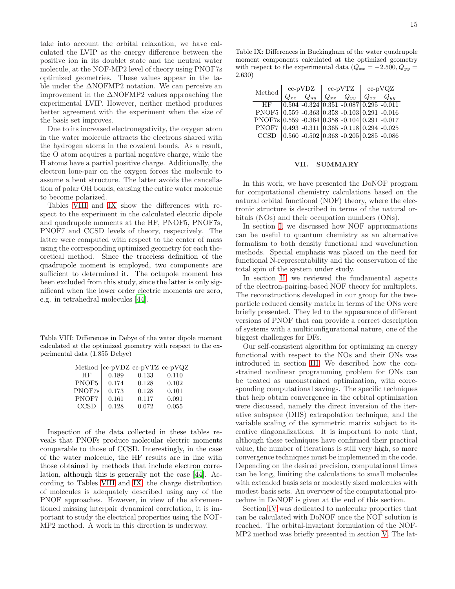take into account the orbital relaxation, we have calculated the LVIP as the energy difference between the positive ion in its doublet state and the neutral water molecule, at the NOF-MP2 level of theory using PNOF7s optimized geometries. These values appear in the table under the ∆NOFMP2 notation. We can perceive an improvement in the ∆NOFMP2 values approaching the experimental LVIP. However, neither method produces better agreement with the experiment when the size of the basis set improves.

Due to its increased electronegativity, the oxygen atom in the water molecule attracts the electrons shared with the hydrogen atoms in the covalent bonds. As a result, the O atom acquires a partial negative charge, while the H atoms have a partial positive charge. Additionally, the electron lone-pair on the oxygen forces the molecule to assume a bent structure. The latter avoids the cancellation of polar OH bonds, causing the entire water molecule to become polarized.

Tables [VIII](#page-14-1) and [IX](#page-14-2) show the differences with respect to the experiment in the calculated electric dipole and quadrupole moments at the HF, PNOF5, PNOF7s, PNOF7 and CCSD levels of theory, respectively. The latter were computed with respect to the center of mass using the corresponding optimized geometry for each theoretical method. Since the traceless definition of the quadrupole moment is employed, two components are sufficient to determined it. The octupole moment has been excluded from this study, since the latter is only significant when the lower order electric moments are zero, e.g. in tetrahedral molecules [\[44](#page-16-10)].

Table VIII: Differences in Debye of the water dipole moment calculated at the optimized geometry with respect to the experimental data (1.855 Debye)

<span id="page-14-1"></span>

|             | Method   cc-pVDZ cc-pVTZ cc-pVQZ |       |       |
|-------------|----------------------------------|-------|-------|
| HF          | 0.189                            | 0.133 | 0.110 |
| PNOF5       | 0.174                            | 0.128 | 0.102 |
| PNOF7s      | 0.173                            | 0.128 | 0.101 |
| PNOF7       | 0.161                            | 0.117 | 0.091 |
| <b>CCSD</b> | 0.128                            | 0.072 | 0.055 |

Inspection of the data collected in these tables reveals that PNOFs produce molecular electric moments comparable to those of CCSD. Interestingly, in the case of the water molecule, the HF results are in line with those obtained by methods that include electron correlation, although this is generally not the case [\[44](#page-16-10)]. According to Tables [VIII](#page-14-1) and [IX,](#page-14-2) the charge distribution of molecules is adequately described using any of the PNOF approaches. However, in view of the aforementioned missing interpair dynamical correlation, it is important to study the electrical properties using the NOF-MP2 method. A work in this direction is underway.

<span id="page-14-2"></span>

| Method                                                        |          | $cc$ -p $VDZ$ | $cc$ -p $VTZ$                                             | $cc$ -p $\rm VQZ$ |  |
|---------------------------------------------------------------|----------|---------------|-----------------------------------------------------------|-------------------|--|
|                                                               | $Q_{xx}$ | $Q_{yy}$      | $Q_{xx}$ $Q_{yy}$ $Q_{xx}$ $Q_{yy}$                       |                   |  |
| HF                                                            |          |               | $0.504 - 0.324 \times 0.351 - 0.087 \times 0.295 - 0.011$ |                   |  |
| PNOF5 0.559 -0.363 0.358 -0.103 0.291 -0.016                  |          |               |                                                           |                   |  |
| PNOF7s 0.559 -0.364 0.358 -0.104 0.291 -0.017                 |          |               |                                                           |                   |  |
| PNOF7 0.493 -0.311 0.365 -0.118 0.294 -0.025                  |          |               |                                                           |                   |  |
| CCSD $\big 0.560 - 0.502\big 0.368 - 0.205\big 0.285 - 0.086$ |          |               |                                                           |                   |  |

### <span id="page-14-0"></span>VII. SUMMARY

In this work, we have presented the DoNOF program for computational chemistry calculations based on the natural orbital functional (NOF) theory, where the electronic structure is described in terms of the natural orbitals (NOs) and their occupation numbers (ONs).

In section [I,](#page-1-0) we discussed how NOF approximations can be useful to quantum chemistry as an alternative formalism to both density functional and wavefunction methods. Special emphasis was placed on the need for functional N-representability and the conservation of the total spin of the system under study.

In section [II,](#page-3-0) we reviewed the fundamental aspects of the electron-pairing-based NOF theory for multiplets. The reconstructions developed in our group for the twoparticle reduced density matrix in terms of the ONs were briefly presented. They led to the appearance of different versions of PNOF that can provide a correct description of systems with a multiconfigurational nature, one of the biggest challenges for DFs.

Our self-consistent algorithm for optimizing an energy functional with respect to the NOs and their ONs was introduced in section [III.](#page-5-0) We described how the constrained nonlinear programming problem for ONs can be treated as unconstrained optimization, with corresponding computational savings. The specific techniques that help obtain convergence in the orbital optimization were discussed, namely the direct inversion of the iterative subspace (DIIS) extrapolation technique, and the variable scaling of the symmetric matrix subject to iterative diagonalizations. It is important to note that, although these techniques have confirmed their practical value, the number of iterations is still very high, so more convergence techniques must be implemented in the code. Depending on the desired precision, computational times can be long, limiting the calculations to small molecules with extended basis sets or modestly sized molecules with modest basis sets. An overview of the computational procedure in DoNOF is given at the end of this section.

Section [IV](#page-8-0) was dedicated to molecular properties that can be calculated with DoNOF once the NOF solution is reached. The orbital-invariant formulation of the NOF-MP2 method was briefly presented in section [V.](#page-9-0) The lat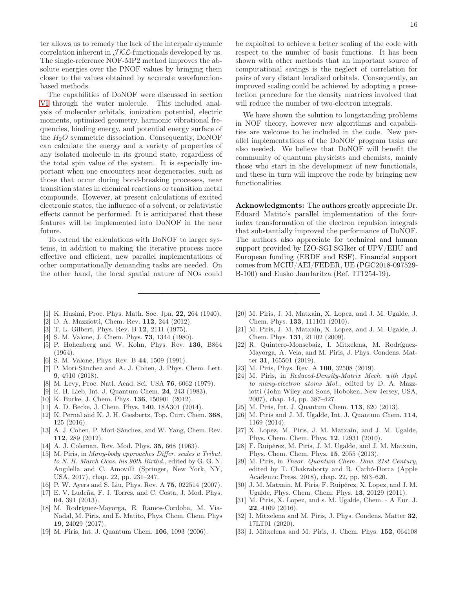ter allows us to remedy the lack of the interpair dynamic correlation inherent in  $\mathcal{JKL}$ -functionals developed by us. The single-reference NOF-MP2 method improves the absolute energies over the PNOF values by bringing them closer to the values obtained by accurate wavefunctionbased methods.

The capabilities of DoNOF were discussed in section [VI](#page-10-0) through the water molecule. This included analysis of molecular orbitals, ionization potential, electric moments, optimized geometry, harmonic vibrational frequencies, binding energy, and potential energy surface of the  $H_2O$  symmetric dissociation. Consequently, DoNOF can calculate the energy and a variety of properties of any isolated molecule in its ground state, regardless of the total spin value of the system. It is especially important when one encounters near degeneracies, such as those that occur during bond-breaking processes, near transition states in chemical reactions or transition metal compounds. However, at present calculations of excited electronic states, the influence of a solvent, or relativistic effects cannot be performed. It is anticipated that these features will be implemented into DoNOF in the near future.

To extend the calculations with DoNOF to larger systems, in addition to making the iterative process more effective and efficient, new parallel implementations of other computationally demanding tasks are needed. On the other hand, the local spatial nature of NOs could

be exploited to achieve a better scaling of the code with respect to the number of basis functions. It has been shown with other methods that an important source of computational savings is the neglect of correlation for pairs of very distant localized orbitals. Consequently, an improved scaling could be achieved by adopting a preselection procedure for the density matrices involved that will reduce the number of two-electron integrals.

We have shown the solution to longstanding problems in NOF theory, however new algorithms and capabilities are welcome to be included in the code. New parallel implementations of the DoNOF program tasks are also needed. We believe that DoNOF will benefit the community of quantum physicists and chemists, mainly those who start in the development of new functionals, and these in turn will improve the code by bringing new functionalities.

Acknowledgments: The authors greatly appreciate Dr. Eduard Matito's parallel implementation of the fourindex transformation of the electron repulsion integrals that substantially improved the performance of DoNOF. The authors also appreciate for technical and human support provided by IZO-SGI SGIker of UPV/EHU and European funding (ERDF and ESF). Financial support comes from MCIU/AEI/FEDER, UE (PGC2018-097529- B-100) and Eusko Jaurlaritza (Ref. IT1254-19).

- <span id="page-15-0"></span>[1] K. Husimi, Proc. Phys. Math. Soc. Jpn. 22, 264 (1940).
- <span id="page-15-1"></span>[2] D. A. Mazziotti, Chem. Rev. 112, 244 (2012).
- <span id="page-15-2"></span>[3] T. L. Gilbert, Phys. Rev. B 12, 2111 (1975).
- <span id="page-15-3"></span>[4] S. M. Valone, J. Chem. Phys. **73**, 1344 (1980).
- <span id="page-15-4"></span>[5] P. Hohenberg and W. Kohn, Phys. Rev. 136, B864 (1964).
- <span id="page-15-5"></span>[6] S. M. Valone, Phys. Rev. B 44, 1509 (1991).
- <span id="page-15-6"></span>[7] P. Mori-Sánchez and A. J. Cohen, J. Phys. Chem. Lett. 9, 4910 (2018).
- <span id="page-15-7"></span>[8] M. Levy, Proc. Natl. Acad. Sci. USA 76, 6062 (1979).
- <span id="page-15-8"></span>[9] E. H. Lieb, Int. J. Quantum Chem. 24, 243 (1983).
- <span id="page-15-9"></span>[10] K. Burke, J. Chem. Phys. **136**, 150901 (2012).
- <span id="page-15-10"></span>[11] A. D. Becke, J. Chem. Phys. 140, 18A301 (2014).
- <span id="page-15-11"></span>[12] K. Pernal and K. J. H. Giesbertz, Top. Curr. Chem. 368, 125 (2016).
- <span id="page-15-12"></span>[13] A. J. Cohen, P. Mori-Sánchez, and W. Yang, Chem. Rev. 112, 289 (2012).
- <span id="page-15-13"></span>[14] A. J. Coleman, Rev. Mod. Phys. 35, 668 (1963).
- <span id="page-15-14"></span>[15] M. Piris, in Many-body approaches Differ. scales a Tribut. to N. H. March Ocas. his 90th Birthd., edited by G. G. N. Angilella and C. Amovilli (Springer, New York, NY, USA, 2017), chap. 22, pp. 231–247.
- <span id="page-15-15"></span>[16] P. W. Ayers and S. Liu, Phys. Rev. A **75**, 022514 (2007).
- [17] E. V. Ludeña, F. J. Torres, and C. Costa, J. Mod. Phys. 04, 391 (2013).
- <span id="page-15-16"></span>[18] M. Rodríguez-Mayorga, E. Ramos-Cordoba, M. Via-Nadal, M. Piris, and E. Matito, Phys. Chem. Chem. Phys 19, 24029 (2017).
- <span id="page-15-17"></span>[19] M. Piris, Int. J. Quantum Chem. 106, 1093 (2006).
- <span id="page-15-18"></span>[20] M. Piris, J. M. Matxain, X. Lopez, and J. M. Ugalde, J. Chem. Phys. 133, 111101 (2010).
- <span id="page-15-19"></span>[21] M. Piris, J. M. Matxain, X. Lopez, and J. M. Ugalde, J. Chem. Phys. 131, 21102 (2009).
- [22] R. Quintero-Monsebaiz, I. Mitxelena, M. Rodríguez-Mayorga, A. Vela, and M. Piris, J. Phys. Condens. Matter 31, 165501 (2019).
- <span id="page-15-20"></span>[23] M. Piris, Phys. Rev. A **100**, 32508 (2019).
- <span id="page-15-21"></span>[24] M. Piris, in Reduced-Density-Matrix Mech. with Appl. to many-electron atoms Mol., edited by D. A. Mazziotti (John Wiley and Sons, Hoboken, New Jersey, USA, 2007), chap. 14, pp. 387–427.
- <span id="page-15-22"></span>[25] M. Piris, Int. J. Quantum Chem. **113**, 620 (2013).
- <span id="page-15-23"></span>[26] M. Piris and J. M. Ugalde, Int. J. Quantum Chem. 114, 1169 (2014).
- <span id="page-15-24"></span>[27] X. Lopez, M. Piris, J. M. Matxain, and J. M. Ugalde, Phys. Chem. Chem. Phys. 12, 12931 (2010).
- <span id="page-15-25"></span>[28] F. Ruipérez, M. Piris, J. M. Ugalde, and J. M. Matxain, Phys. Chem. Chem. Phys. 15, 2055 (2013).
- <span id="page-15-26"></span>[29] M. Piris, in Theor. Quantum Chem. Daw. 21st Century, edited by T. Chakraborty and R. Carbó-Dorca (Apple Academic Press, 2018), chap. 22, pp. 593–620.
- <span id="page-15-27"></span>[30] J. M. Matxain, M. Piris, F. Ruipérez, X. Lopez, and J. M. Ugalde, Phys. Chem. Chem. Phys. 13, 20129 (2011).
- <span id="page-15-28"></span>[31] M. Piris, X. Lopez, and s. M. Ugalde, Chem. - A Eur. J. 22, 4109 (2016).
- <span id="page-15-29"></span>[32] I. Mitxelena and M. Piris, J. Phys. Condens. Matter 32, 17LT01 (2020).
- <span id="page-15-30"></span>[33] I. Mitxelena and M. Piris, J. Chem. Phys. **152**, 064108